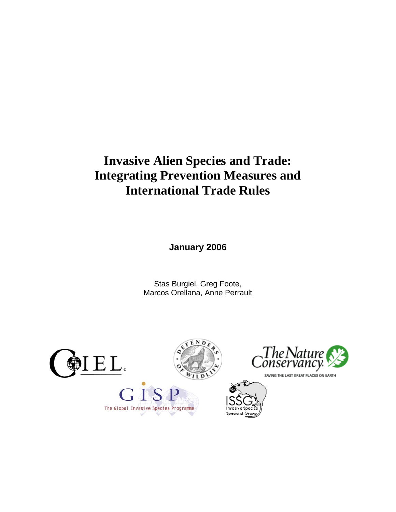# **Invasive Alien Species and Trade: Integrating Prevention Measures and International Trade Rules**

**January 2006** 

Stas Burgiel, Greg Foote, Marcos Orellana, Anne Perrault





SAVING THE LAST GREAT PLACES ON EARTH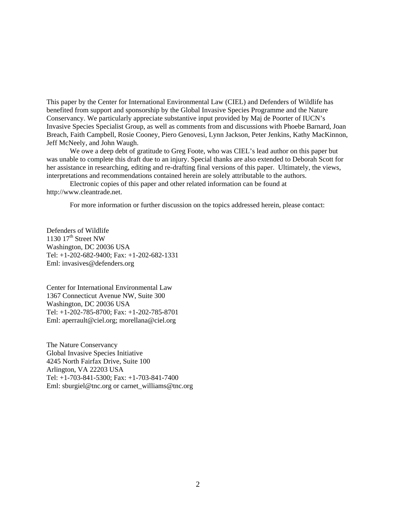This paper by the Center for International Environmental Law (CIEL) and Defenders of Wildlife has benefited from support and sponsorship by the Global Invasive Species Programme and the Nature Conservancy. We particularly appreciate substantive input provided by Maj de Poorter of IUCN's Invasive Species Specialist Group, as well as comments from and discussions with Phoebe Barnard, Joan Breach, Faith Campbell, Rosie Cooney, Piero Genovesi, Lynn Jackson, Peter Jenkins, Kathy MacKinnon, Jeff McNeely, and John Waugh.

We owe a deep debt of gratitude to Greg Foote, who was CIEL's lead author on this paper but was unable to complete this draft due to an injury. Special thanks are also extended to Deborah Scott for her assistance in researching, editing and re-drafting final versions of this paper. Ultimately, the views, interpretations and recommendations contained herein are solely attributable to the authors.

Electronic copies of this paper and other related information can be found at http://www.cleantrade.net.

For more information or further discussion on the topics addressed herein, please contact:

Defenders of Wildlife 1130  $17<sup>th</sup>$  Street NW Washington, DC 20036 USA Tel: +1-202-682-9400; Fax: +1-202-682-1331 Eml: invasives@defenders.org

Center for International Environmental Law 1367 Connecticut Avenue NW, Suite 300 Washington, DC 20036 USA Tel: +1-202-785-8700; Fax: +1-202-785-8701 Eml: aperrault@ciel.org; morellana@ciel.org

The Nature Conservancy Global Invasive Species Initiative 4245 North Fairfax Drive, Suite 100 Arlington, VA 22203 USA Tel: +1-703-841-5300; Fax: +1-703-841-7400 Eml: sburgiel@tnc.org or carnet\_williams@tnc.org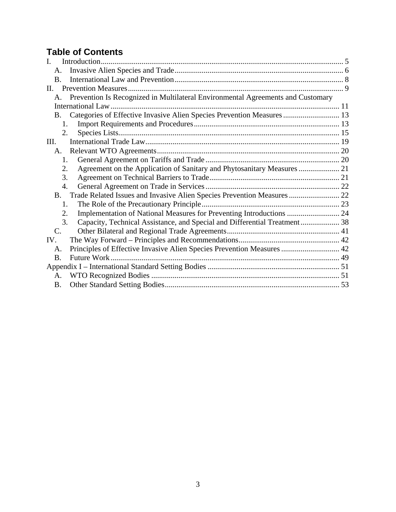## **Table of Contents**

| $\mathbf{I}$ .                                                                        |  |
|---------------------------------------------------------------------------------------|--|
| A.                                                                                    |  |
| <b>B.</b>                                                                             |  |
| $\Pi$ .                                                                               |  |
| Prevention Is Recognized in Multilateral Environmental Agreements and Customary<br>A. |  |
|                                                                                       |  |
| Categories of Effective Invasive Alien Species Prevention Measures  13<br>B.          |  |
| 1.                                                                                    |  |
| 2.                                                                                    |  |
| III.                                                                                  |  |
| A.                                                                                    |  |
| $1_{-}$                                                                               |  |
| 2.                                                                                    |  |
| 3.                                                                                    |  |
| 4.                                                                                    |  |
| <b>B.</b>                                                                             |  |
| 1.                                                                                    |  |
| Implementation of National Measures for Preventing Introductions  24<br>2.            |  |
| Capacity, Technical Assistance, and Special and Differential Treatment 38<br>3.       |  |
| $\mathcal{C}$ .                                                                       |  |
| IV.                                                                                   |  |
| Principles of Effective Invasive Alien Species Prevention Measures  42<br>А.          |  |
| <b>B.</b>                                                                             |  |
|                                                                                       |  |
| $\mathsf{A}$ .                                                                        |  |
| B.                                                                                    |  |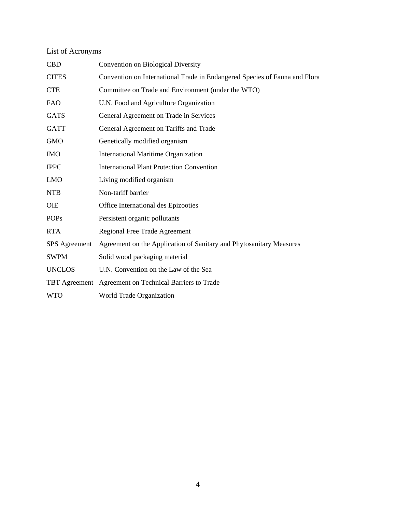## List of Acronyms

| <b>CBD</b>           | Convention on Biological Diversity                                         |
|----------------------|----------------------------------------------------------------------------|
| <b>CITES</b>         | Convention on International Trade in Endangered Species of Fauna and Flora |
| <b>CTE</b>           | Committee on Trade and Environment (under the WTO)                         |
| <b>FAO</b>           | U.N. Food and Agriculture Organization                                     |
| <b>GATS</b>          | General Agreement on Trade in Services                                     |
| <b>GATT</b>          | General Agreement on Tariffs and Trade                                     |
| <b>GMO</b>           | Genetically modified organism                                              |
| <b>IMO</b>           | <b>International Maritime Organization</b>                                 |
| <b>IPPC</b>          | <b>International Plant Protection Convention</b>                           |
| <b>LMO</b>           | Living modified organism                                                   |
| <b>NTB</b>           | Non-tariff barrier                                                         |
| <b>OIE</b>           | Office International des Epizooties                                        |
| <b>POPs</b>          | Persistent organic pollutants                                              |
| <b>RTA</b>           | Regional Free Trade Agreement                                              |
| <b>SPS</b> Agreement | Agreement on the Application of Sanitary and Phytosanitary Measures        |
| <b>SWPM</b>          | Solid wood packaging material                                              |
| <b>UNCLOS</b>        | U.N. Convention on the Law of the Sea                                      |
|                      | TBT Agreement Agreement on Technical Barriers to Trade                     |
| <b>WTO</b>           | World Trade Organization                                                   |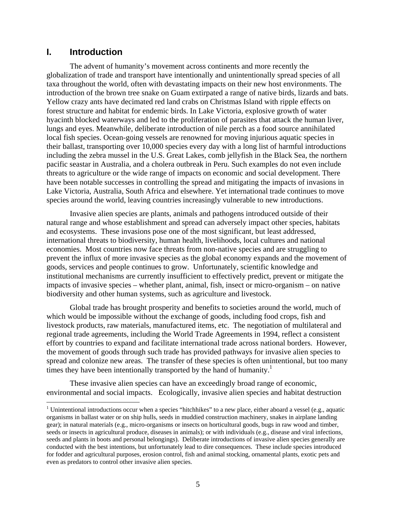## **I. Introduction**

 $\overline{a}$ 

The advent of humanity's movement across continents and more recently the globalization of trade and transport have intentionally and unintentionally spread species of all taxa throughout the world, often with devastating impacts on their new host environments. The introduction of the brown tree snake on Guam extirpated a range of native birds, lizards and bats. Yellow crazy ants have decimated red land crabs on Christmas Island with ripple effects on forest structure and habitat for endemic birds. In Lake Victoria, explosive growth of water hyacinth blocked waterways and led to the proliferation of parasites that attack the human liver, lungs and eyes. Meanwhile, deliberate introduction of nile perch as a food source annihilated local fish species. Ocean-going vessels are renowned for moving injurious aquatic species in their ballast, transporting over 10,000 species every day with a long list of harmful introductions including the zebra mussel in the U.S. Great Lakes, comb jellyfish in the Black Sea, the northern pacific seastar in Australia, and a cholera outbreak in Peru. Such examples do not even include threats to agriculture or the wide range of impacts on economic and social development. There have been notable successes in controlling the spread and mitigating the impacts of invasions in Lake Victoria, Australia, South Africa and elsewhere. Yet international trade continues to move species around the world, leaving countries increasingly vulnerable to new introductions.

Invasive alien species are plants, animals and pathogens introduced outside of their natural range and whose establishment and spread can adversely impact other species, habitats and ecosystems. These invasions pose one of the most significant, but least addressed, international threats to biodiversity, human health, livelihoods, local cultures and national economies. Most countries now face threats from non-native species and are struggling to prevent the influx of more invasive species as the global economy expands and the movement of goods, services and people continues to grow. Unfortunately, scientific knowledge and institutional mechanisms are currently insufficient to effectively predict, prevent or mitigate the impacts of invasive species – whether plant, animal, fish, insect or micro-organism – on native biodiversity and other human systems, such as agriculture and livestock.

Global trade has brought prosperity and benefits to societies around the world, much of which would be impossible without the exchange of goods, including food crops, fish and livestock products, raw materials, manufactured items, etc. The negotiation of multilateral and regional trade agreements, including the World Trade Agreements in 1994, reflect a consistent effort by countries to expand and facilitate international trade across national borders. However, the movement of goods through such trade has provided pathways for invasive alien species to spread and colonize new areas. The transfer of these species is often unintentional, but too many times they have been intentionally transported by the hand of humanity.<sup>1</sup>

These invasive alien species can have an exceedingly broad range of economic, environmental and social impacts. Ecologically, invasive alien species and habitat destruction

<sup>&</sup>lt;sup>1</sup> Unintentional introductions occur when a species "hitchhikes" to a new place, either aboard a vessel (e.g., aquatic organisms in ballast water or on ship hulls, seeds in muddied construction machinery, snakes in airplane landing gear); in natural materials (e.g., micro-organisms or insects on horticultural goods, bugs in raw wood and timber, seeds or insects in agricultural produce, diseases in animals); or with individuals (e.g., disease and viral infections, seeds and plants in boots and personal belongings). Deliberate introductions of invasive alien species generally are conducted with the best intentions, but unfortunately lead to dire consequences. These include species introduced for fodder and agricultural purposes, erosion control, fish and animal stocking, ornamental plants, exotic pets and even as predators to control other invasive alien species.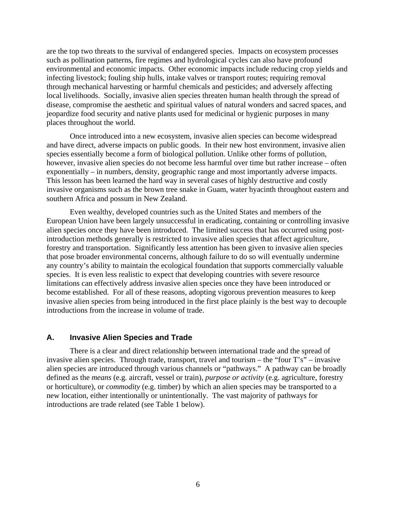are the top two threats to the survival of endangered species. Impacts on ecosystem processes such as pollination patterns, fire regimes and hydrological cycles can also have profound environmental and economic impacts. Other economic impacts include reducing crop yields and infecting livestock; fouling ship hulls, intake valves or transport routes; requiring removal through mechanical harvesting or harmful chemicals and pesticides; and adversely affecting local livelihoods. Socially, invasive alien species threaten human health through the spread of disease, compromise the aesthetic and spiritual values of natural wonders and sacred spaces, and jeopardize food security and native plants used for medicinal or hygienic purposes in many places throughout the world.

 Once introduced into a new ecosystem, invasive alien species can become widespread and have direct, adverse impacts on public goods. In their new host environment, invasive alien species essentially become a form of biological pollution. Unlike other forms of pollution, however, invasive alien species do not become less harmful over time but rather increase – often exponentially – in numbers, density, geographic range and most importantly adverse impacts. This lesson has been learned the hard way in several cases of highly destructive and costly invasive organisms such as the brown tree snake in Guam, water hyacinth throughout eastern and southern Africa and possum in New Zealand.

Even wealthy, developed countries such as the United States and members of the European Union have been largely unsuccessful in eradicating, containing or controlling invasive alien species once they have been introduced. The limited success that has occurred using postintroduction methods generally is restricted to invasive alien species that affect agriculture, forestry and transportation. Significantly less attention has been given to invasive alien species that pose broader environmental concerns, although failure to do so will eventually undermine any country's ability to maintain the ecological foundation that supports commercially valuable species. It is even less realistic to expect that developing countries with severe resource limitations can effectively address invasive alien species once they have been introduced or become established. For all of these reasons, adopting vigorous prevention measures to keep invasive alien species from being introduced in the first place plainly is the best way to decouple introductions from the increase in volume of trade.

#### **A. Invasive Alien Species and Trade**

 There is a clear and direct relationship between international trade and the spread of invasive alien species. Through trade, transport, travel and tourism – the "four  $T's$ " – invasive alien species are introduced through various channels or "pathways." A pathway can be broadly defined as the *means* (e.g. aircraft, vessel or train), *purpose or activity* (e.g. agriculture, forestry or horticulture), or *commodity* (e.g. timber) by which an alien species may be transported to a new location, either intentionally or unintentionally. The vast majority of pathways for introductions are trade related (see Table 1 below).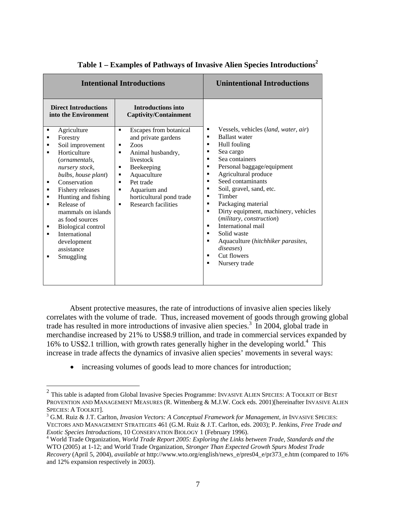|                                                                                                                                                                                                                                                                                                                                                                                                                                                                                      | <b>Intentional Introductions</b>                                                                                                                                                                                                                                                                                               | <b>Unintentional Introductions</b>                                                                                                                                                                                                                                                                                                                                                                                                                                                                                                               |
|--------------------------------------------------------------------------------------------------------------------------------------------------------------------------------------------------------------------------------------------------------------------------------------------------------------------------------------------------------------------------------------------------------------------------------------------------------------------------------------|--------------------------------------------------------------------------------------------------------------------------------------------------------------------------------------------------------------------------------------------------------------------------------------------------------------------------------|--------------------------------------------------------------------------------------------------------------------------------------------------------------------------------------------------------------------------------------------------------------------------------------------------------------------------------------------------------------------------------------------------------------------------------------------------------------------------------------------------------------------------------------------------|
| <b>Direct Introductions</b><br>into the Environment<br>Agriculture<br>٠<br>Forestry<br>٠<br>Soil improvement<br>٠<br>Horticulture<br>$\blacksquare$<br>(ornamentals,<br>nursery stock,<br>bulbs, house plant)<br>Conservation<br>٠<br>Fishery releases<br>٠<br>Hunting and fishing<br>٠<br>Release of<br>٠<br>mammals on islands<br>as food sources<br><b>Biological control</b><br>п<br>International<br>$\blacksquare$<br>development<br>assistance<br>Smuggling<br>$\blacksquare$ | <b>Introductions into</b><br><b>Captivity/Containment</b><br>Escapes from botanical<br>$\blacksquare$<br>and private gardens<br>Zoos<br>٠<br>Animal husbandry,<br>٠<br>livestock<br>Beekeeping<br>Aquaculture<br>٠<br>Pet trade<br>٠<br>Aquarium and<br>п<br>horticultural pond trade<br>Research facilities<br>$\blacksquare$ | Vessels, vehicles (land, water, air)<br>٠<br><b>Ballast water</b><br>٠<br>Hull fouling<br>٠<br>Sea cargo<br>٠<br>Sea containers<br>٠<br>Personal baggage/equipment<br>٠<br>Agricultural produce<br>٠<br>Seed contaminants<br>٠<br>Soil, gravel, sand, etc.<br>٠<br>Timber<br>٠<br>Packaging material<br>٠<br>Dirty equipment, machinery, vehicles<br>$\blacksquare$<br>(military, construction)<br>International mail<br>п<br>Solid waste<br>٠<br>Aquaculture (hitchhiker parasites,<br>٠<br>diseases)<br>Cut flowers<br>٠<br>Nursery trade<br>٠ |

## **Table 1 – Examples of Pathways of Invasive Alien Species Introductions<sup>2</sup>**

Absent protective measures, the rate of introductions of invasive alien species likely correlates with the volume of trade. Thus, increased movement of goods through growing global trade has resulted in more introductions of invasive alien species.<sup>3</sup> In 2004, global trade in merchandise increased by 21% to US\$8.9 trillion, and trade in commercial services expanded by 16% to US\$2.1 trillion, with growth rates generally higher in the developing world.<sup>4</sup> This increase in trade affects the dynamics of invasive alien species' movements in several ways:

• increasing volumes of goods lead to more chances for introduction;

<u>.</u>

<sup>&</sup>lt;sup>2</sup> This table is adapted from Global Invasive Species Programme: INVASIVE ALIEN SPECIES: A TOOLKIT OF BEST PROVENTION AND MANAGEMENT MEASURES (R. Wittenberg & M.J.W. Cock eds. 2001)[hereinafter INVASIVE ALIEN SPECIES: A TOOLKIT].

<sup>&</sup>lt;sup>3</sup> G.M. Ruiz & J.T. Carlton, *Invasion Vectors: A Conceptual Framework for Management, in* INVASIVE SPECIES: VECTORS AND MANAGEMENT STRATEGIES 461 (G.M. Ruiz & J.T. Carlton, eds. 2003); P. Jenkins, *Free Trade and Exotic Species Introductions*, 10 CONSERVATION BIOLOGY 1 (February 1996). 4

World Trade Organization, *World Trade Report 2005: Exploring the Links between Trade, Standards and the*  WTO (2005) at 1-12; and World Trade Organization, *Stronger Than Expected Growth Spurs Modest Trade Recovery* (April 5, 2004), *available at* http://www.wto.org/english/news\_e/pres04\_e/pr373\_e.htm (compared to 16% and 12% expansion respectively in 2003).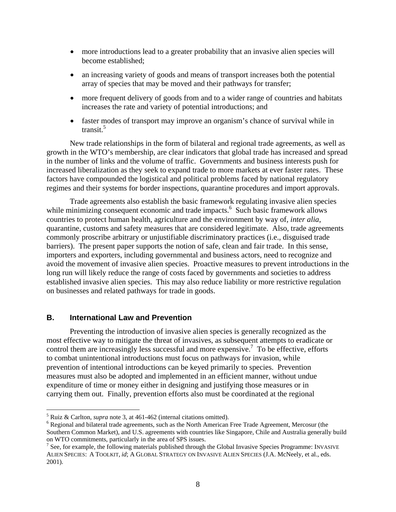- more introductions lead to a greater probability that an invasive alien species will become established;
- an increasing variety of goods and means of transport increases both the potential array of species that may be moved and their pathways for transfer;
- more frequent delivery of goods from and to a wider range of countries and habitats increases the rate and variety of potential introductions; and
- faster modes of transport may improve an organism's chance of survival while in transit.<sup>5</sup>

New trade relationships in the form of bilateral and regional trade agreements, as well as growth in the WTO's membership, are clear indicators that global trade has increased and spread in the number of links and the volume of traffic. Governments and business interests push for increased liberalization as they seek to expand trade to more markets at ever faster rates. These factors have compounded the logistical and political problems faced by national regulatory regimes and their systems for border inspections, quarantine procedures and import approvals.

Trade agreements also establish the basic framework regulating invasive alien species while minimizing consequent economic and trade impacts. $<sup>6</sup>$  Such basic framework allows</sup> countries to protect human health, agriculture and the environment by way of, *inter alia*, quarantine, customs and safety measures that are considered legitimate. Also, trade agreements commonly proscribe arbitrary or unjustifiable discriminatory practices (i.e., disguised trade barriers). The present paper supports the notion of safe, clean and fair trade. In this sense, importers and exporters, including governmental and business actors, need to recognize and avoid the movement of invasive alien species. Proactive measures to prevent introductions in the long run will likely reduce the range of costs faced by governments and societies to address established invasive alien species. This may also reduce liability or more restrictive regulation on businesses and related pathways for trade in goods.

#### **B. International Law and Prevention**

 $\overline{a}$ 

Preventing the introduction of invasive alien species is generally recognized as the most effective way to mitigate the threat of invasives, as subsequent attempts to eradicate or control them are increasingly less successful and more expensive.<sup>7</sup> To be effective, efforts to combat unintentional introductions must focus on pathways for invasion, while prevention of intentional introductions can be keyed primarily to species. Prevention measures must also be adopted and implemented in an efficient manner, without undue expenditure of time or money either in designing and justifying those measures or in carrying them out. Finally, prevention efforts also must be coordinated at the regional

<sup>&</sup>lt;sup>5</sup> Ruiz & Carlton, *supra* note 3, at  $461-462$  (internal citations omitted).

<sup>&</sup>lt;sup>6</sup> Regional and bilateral trade agreements, such as the North American Free Trade Agreement, Mercosur (the Southern Common Market), and U.S. agreements with countries like Singapore, Chile and Australia generally build on WTO commitments, particularly in the area of SPS issues. 7

 $\frac{7}{1}$  See, for example, the following materials published through the Global Invasive Species Programme: INVASIVE ALIEN SPECIES: A TOOLKIT, *id*; A GLOBAL STRATEGY ON INVASIVE ALIEN SPECIES (J.A. McNeely, et al., eds. 2001).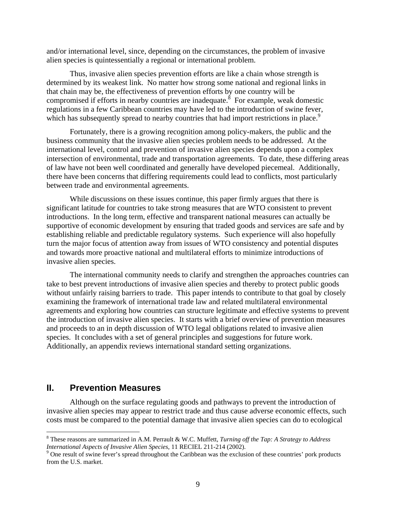and/or international level, since, depending on the circumstances, the problem of invasive alien species is quintessentially a regional or international problem.

Thus, invasive alien species prevention efforts are like a chain whose strength is determined by its weakest link. No matter how strong some national and regional links in that chain may be, the effectiveness of prevention efforts by one country will be compromised if efforts in nearby countries are inadequate.<sup>8</sup> For example, weak domestic regulations in a few Caribbean countries may have led to the introduction of swine fever, which has subsequently spread to nearby countries that had import restrictions in place.<sup>9</sup>

Fortunately, there is a growing recognition among policy-makers, the public and the business community that the invasive alien species problem needs to be addressed. At the international level, control and prevention of invasive alien species depends upon a complex intersection of environmental, trade and transportation agreements. To date, these differing areas of law have not been well coordinated and generally have developed piecemeal. Additionally, there have been concerns that differing requirements could lead to conflicts, most particularly between trade and environmental agreements.

While discussions on these issues continue, this paper firmly argues that there is significant latitude for countries to take strong measures that are WTO consistent to prevent introductions. In the long term, effective and transparent national measures can actually be supportive of economic development by ensuring that traded goods and services are safe and by establishing reliable and predictable regulatory systems. Such experience will also hopefully turn the major focus of attention away from issues of WTO consistency and potential disputes and towards more proactive national and multilateral efforts to minimize introductions of invasive alien species.

The international community needs to clarify and strengthen the approaches countries can take to best prevent introductions of invasive alien species and thereby to protect public goods without unfairly raising barriers to trade. This paper intends to contribute to that goal by closely examining the framework of international trade law and related multilateral environmental agreements and exploring how countries can structure legitimate and effective systems to prevent the introduction of invasive alien species. It starts with a brief overview of prevention measures and proceeds to an in depth discussion of WTO legal obligations related to invasive alien species. It concludes with a set of general principles and suggestions for future work. Additionally, an appendix reviews international standard setting organizations.

## **II. Prevention Measures**

 $\overline{a}$ 

Although on the surface regulating goods and pathways to prevent the introduction of invasive alien species may appear to restrict trade and thus cause adverse economic effects, such costs must be compared to the potential damage that invasive alien species can do to ecological

<sup>8</sup> These reasons are summarized in A.M. Perrault & W.C. Muffett, *Turning off the Tap: A Strategy to Address International Aspects of Invasive Alien Species*, 11 RECIEL 211-214 (2002).

<sup>&</sup>lt;sup>9</sup> One result of swine fever's spread throughout the Caribbean was the exclusion of these countries' pork products from the U.S. market.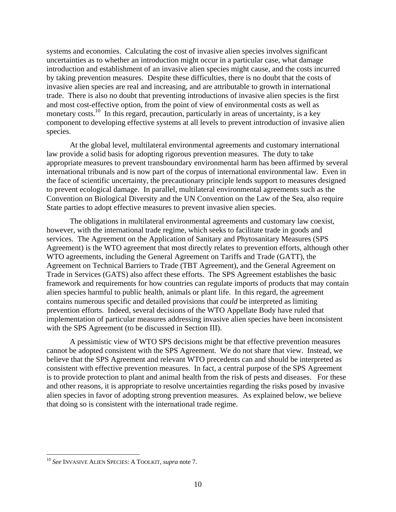systems and economies. Calculating the cost of invasive alien species involves significant uncertainties as to whether an introduction might occur in a particular case, what damage introduction and establishment of an invasive alien species might cause, and the costs incurred by taking prevention measures. Despite these difficulties, there is no doubt that the costs of invasive alien species are real and increasing, and are attributable to growth in international trade. There is also no doubt that preventing introductions of invasive alien species is the first and most cost-effective option, from the point of view of environmental costs as well as monetary costs.<sup>10</sup> In this regard, precaution, particularly in areas of uncertainty, is a key component to developing effective systems at all levels to prevent introduction of invasive alien species.

At the global level, multilateral environmental agreements and customary international law provide a solid basis for adopting rigorous prevention measures. The duty to take appropriate measures to prevent transboundary environmental harm has been affirmed by several international tribunals and is now part of the corpus of international environmental law. Even in the face of scientific uncertainty, the precautionary principle lends support to measures designed to prevent ecological damage. In parallel, multilateral environmental agreements such as the Convention on Biological Diversity and the UN Convention on the Law of the Sea, also require State parties to adopt effective measures to prevent invasive alien species.

The obligations in multilateral environmental agreements and customary law coexist, however, with the international trade regime, which seeks to facilitate trade in goods and services. The Agreement on the Application of Sanitary and Phytosanitary Measures (SPS Agreement) is the WTO agreement that most directly relates to prevention efforts, although other WTO agreements, including the General Agreement on Tariffs and Trade (GATT), the Agreement on Technical Barriers to Trade (TBT Agreement), and the General Agreement on Trade in Services (GATS) also affect these efforts. The SPS Agreement establishes the basic framework and requirements for how countries can regulate imports of products that may contain alien species harmful to public health, animals or plant life. In this regard, the agreement contains numerous specific and detailed provisions that *could* be interpreted as limiting prevention efforts. Indeed, several decisions of the WTO Appellate Body have ruled that implementation of particular measures addressing invasive alien species have been inconsistent with the SPS Agreement (to be discussed in Section III).

A pessimistic view of WTO SPS decisions might be that effective prevention measures cannot be adopted consistent with the SPS Agreement. We do not share that view. Instead, we believe that the SPS Agreement and relevant WTO precedents can and should be interpreted as consistent with effective prevention measures. In fact, a central purpose of the SPS Agreement is to provide protection to plant and animal health from the risk of pests and diseases. For these and other reasons, it is appropriate to resolve uncertainties regarding the risks posed by invasive alien species in favor of adopting strong prevention measures. As explained below, we believe that doing so is consistent with the international trade regime.

<sup>10</sup> *See* INVASIVE ALIEN SPECIES: A TOOLKIT, *supra* note 7.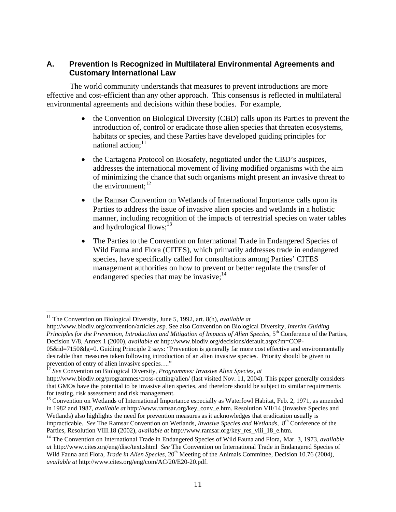## **A. Prevention Is Recognized in Multilateral Environmental Agreements and Customary International Law**

The world community understands that measures to prevent introductions are more effective and cost-efficient than any other approach. This consensus is reflected in multilateral environmental agreements and decisions within these bodies. For example,

- the Convention on Biological Diversity (CBD) calls upon its Parties to prevent the introduction of, control or eradicate those alien species that threaten ecosystems, habitats or species, and these Parties have developed guiding principles for national action; $11$
- the Cartagena Protocol on Biosafety, negotiated under the CBD's auspices, addresses the international movement of living modified organisms with the aim of minimizing the chance that such organisms might present an invasive threat to the environment: $^{12}$
- the Ramsar Convention on Wetlands of International Importance calls upon its Parties to address the issue of invasive alien species and wetlands in a holistic manner, including recognition of the impacts of terrestrial species on water tables and hydrological flows; $^{13}$
- The Parties to the Convention on International Trade in Endangered Species of Wild Fauna and Flora (CITES), which primarily addresses trade in endangered species, have specifically called for consultations among Parties' CITES management authorities on how to prevent or better regulate the transfer of endangered species that may be invasive;  $14$

<sup>&</sup>lt;sup>11</sup> The Convention on Biological Diversity, June 5, 1992, art. 8(h), *available at* 

http://www.biodiv.org/convention/articles.asp. See also Convention on Biological Diversity, *Interim Guiding Principles for the Prevention, Introduction and Mitigation of Impacts of Alien Species,* 5<sup>th</sup> Conference of the Parties, Decision V/8, Annex 1 (2000), *available at* http://www.biodiv.org/decisions/default.aspx?m=COP-05&id=7150&lg=0. Guiding Principle 2 says: "Prevention is generally far more cost effective and environmentally desirable than measures taken following introduction of an alien invasive species. Priority should be given to prevention of entry of alien invasive species…."

<sup>12</sup> *See* Convention on Biological Diversity, *Programmes: Invasive Alien Species, at* 

http://www.biodiv.org/programmes/cross-cutting/alien/ (last visited Nov. 11, 2004). This paper generally considers that GMOs have the potential to be invasive alien species, and therefore should be subject to similar requirements for testing, risk assessment and risk management.<br><sup>13</sup> Convention on Wetlands of International Importance especially as Waterfowl Habitat, Feb. 2, 1971, as amended

in 1982 and 1987, *available at* http://www.ramsar.org/key\_conv\_e.htm. Resolution VII/14 (Invasive Species and Wetlands) also highlights the need for prevention measures as it acknowledges that eradication usually is impracticable. *See* The Ramsar Convention on Wetlands, *Invasive Species and Wetlands,* 8th Conference of the Parties, Resolution VIII.18 (2002), *available at* http://www.ramsar.org/key\_res\_viii\_18\_e.htm. 14 The Convention on International Trade in Endangered Species of Wild Fauna and Flora, Mar. 3, 1973, *available* 

*at* http://www.cites.org/eng/disc/text.shtml *See* The Convention on International Trade in Endangered Species of Wild Fauna and Flora, *Trade in Alien Species*, 20<sup>th</sup> Meeting of the Animals Committee, Decision 10.76 (2004), *available at* http://www.cites.org/eng/com/AC/20/E20-20.pdf.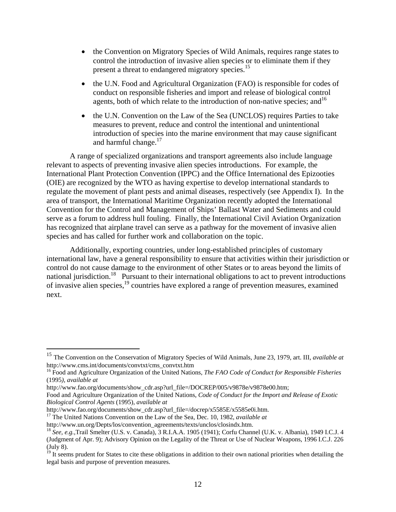- the Convention on Migratory Species of Wild Animals, requires range states to control the introduction of invasive alien species or to eliminate them if they present a threat to endangered migratory species.<sup>15</sup>
- the U.N. Food and Agricultural Organization (FAO) is responsible for codes of conduct on responsible fisheries and import and release of biological control agents, both of which relate to the introduction of non-native species; and  $16$
- the U.N. Convention on the Law of the Sea (UNCLOS) requires Parties to take measures to prevent, reduce and control the intentional and unintentional introduction of species into the marine environment that may cause significant and harmful change. $17$

A range of specialized organizations and transport agreements also include language relevant to aspects of preventing invasive alien species introductions. For example, the International Plant Protection Convention (IPPC) and the Office International des Epizooties (OIE) are recognized by the WTO as having expertise to develop international standards to regulate the movement of plant pests and animal diseases, respectively (see Appendix I). In the area of transport, the International Maritime Organization recently adopted the International Convention for the Control and Management of Ships' Ballast Water and Sediments and could serve as a forum to address hull fouling. Finally, the International Civil Aviation Organization has recognized that airplane travel can serve as a pathway for the movement of invasive alien species and has called for further work and collaboration on the topic.

Additionally, exporting countries, under long-established principles of customary international law, have a general responsibility to ensure that activities within their jurisdiction or control do not cause damage to the environment of other States or to areas beyond the limits of national jurisdiction.<sup>18</sup> Pursuant to their international obligations to act to prevent introductions of invasive alien species,19 countries have explored a range of prevention measures, examined next.

<sup>15</sup> The Convention on the Conservation of Migratory Species of Wild Animals, June 23, 1979, art. III, *available at*  http://www.cms.int/documents/convtxt/cms\_convtxt.htm

<sup>16</sup> Food and Agriculture Organization of the United Nations, *The FAO Code of Conduct for Responsible Fisheries* (1995*), available at* 

http://www.fao.org/documents/show\_cdr.asp?url\_file=/DOCREP/005/v9878e/v9878e00.htm;

Food and Agriculture Organization of the United Nations, *Code of Conduct for the Import and Release of Exotic Biological Control Agents* (1995), *available at*

http://www.fao.org/documents/show\_cdr.asp?url\_file=/docrep/x5585E/x5585e0i.htm.

<sup>&</sup>lt;sup>17</sup> The United Nations Convention on the Law of the Sea, Dec. 10, 1982, *available at* 

http://www.un.org/Depts/los/convention\_agreements/texts/unclos/closindx.htm.

<sup>18</sup> *See, e.g.,*Trail Smelter (U.S. v. Canada), 3 R.I.A.A. 1905 (1941); Corfu Channel (U.K. v. Albania), 1949 I.C.J. 4 (Judgment of Apr. 9); Advisory Opinion on the Legality of the Threat or Use of Nuclear Weapons, 1996 I.C.J. 226 (July 8).

<sup>&</sup>lt;sup>19</sup> It seems prudent for States to cite these obligations in addition to their own national priorities when detailing the legal basis and purpose of prevention measures.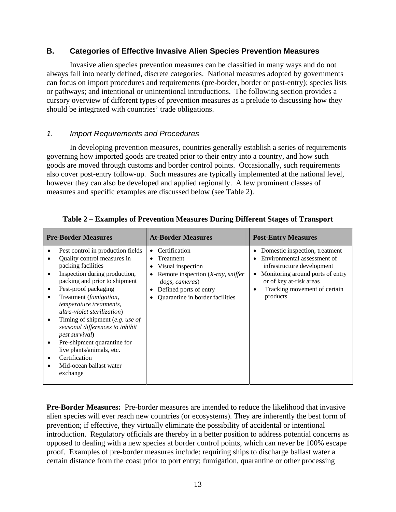## **B. Categories of Effective Invasive Alien Species Prevention Measures**

 Invasive alien species prevention measures can be classified in many ways and do not always fall into neatly defined, discrete categories. National measures adopted by governments can focus on import procedures and requirements (pre-border, border or post-entry); species lists or pathways; and intentional or unintentional introductions. The following section provides a cursory overview of different types of prevention measures as a prelude to discussing how they should be integrated with countries' trade obligations.

## *1. Import Requirements and Procedures*

In developing prevention measures, countries generally establish a series of requirements governing how imported goods are treated prior to their entry into a country, and how such goods are moved through customs and border control points. Occasionally, such requirements also cover post-entry follow-up. Such measures are typically implemented at the national level, however they can also be developed and applied regionally. A few prominent classes of measures and specific examples are discussed below (see Table 2).

| <b>Pre-Border Measures</b>                                                                                                                                                                                                                                                                                                                                                                                                                                                               | <b>At-Border Measures</b>                                                                                                                                                           | <b>Post-Entry Measures</b>                                                                                                                                                                                  |
|------------------------------------------------------------------------------------------------------------------------------------------------------------------------------------------------------------------------------------------------------------------------------------------------------------------------------------------------------------------------------------------------------------------------------------------------------------------------------------------|-------------------------------------------------------------------------------------------------------------------------------------------------------------------------------------|-------------------------------------------------------------------------------------------------------------------------------------------------------------------------------------------------------------|
| Pest control in production fields<br>Quality control measures in<br>packing facilities<br>Inspection during production,<br>packing and prior to shipment<br>Pest-proof packaging<br>Treatment (fumigation,<br>temperature treatments,<br>ultra-violet sterilization)<br>Timing of shipment (e.g. use of<br>seasonal differences to inhibit<br><i>pest survival</i> )<br>Pre-shipment quarantine for<br>live plants/animals, etc.<br>Certification<br>Mid-ocean ballast water<br>exchange | Certification<br>$\bullet$<br>Treatment<br>Visual inspection<br>Remote inspection $(X-ray, sniffer)$<br>dogs, cameras)<br>Defined ports of entry<br>Quarantine in border facilities | Domestic inspection, treatment<br>٠<br>Environmental assessment of<br>infrastructure development<br>Monitoring around ports of entry<br>or of key at-risk areas<br>Tracking movement of certain<br>products |

**Table 2 – Examples of Prevention Measures During Different Stages of Transport** 

**Pre-Border Measures:** Pre-border measures are intended to reduce the likelihood that invasive alien species will ever reach new countries (or ecosystems). They are inherently the best form of prevention; if effective, they virtually eliminate the possibility of accidental or intentional introduction. Regulatory officials are thereby in a better position to address potential concerns as opposed to dealing with a new species at border control points, which can never be 100% escape proof. Examples of pre-border measures include: requiring ships to discharge ballast water a certain distance from the coast prior to port entry; fumigation, quarantine or other processing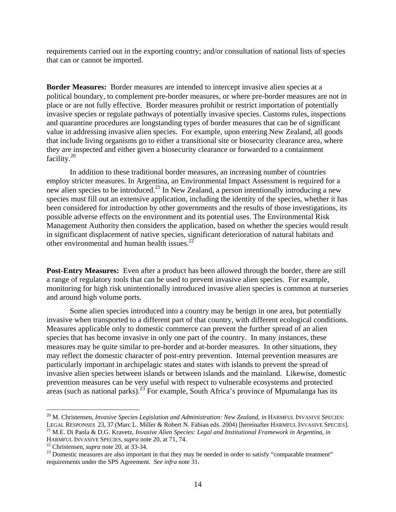requirements carried out in the exporting country; and/or consultation of national lists of species that can or cannot be imported.

**Border Measures:** Border measures are intended to intercept invasive alien species at a political boundary, to complement pre-border measures, or where pre-border measures are not in place or are not fully effective. Border measures prohibit or restrict importation of potentially invasive species or regulate pathways of potentially invasive species. Customs rules, inspections and quarantine procedures are longstanding types of border measures that can be of significant value in addressing invasive alien species. For example, upon entering New Zealand, all goods that include living organisms go to either a transitional site or biosecurity clearance area, where they are inspected and either given a biosecurity clearance or forwarded to a containment facility.20

 In addition to these traditional border measures, an increasing number of countries employ stricter measures. In Argentina, an Environmental Impact Assessment is required for a new alien species to be introduced.<sup>21</sup> In New Zealand, a person intentionally introducing a new species must fill out an extensive application, including the identity of the species, whether it has been considered for introduction by other governments and the results of those investigations, its possible adverse effects on the environment and its potential uses. The Environmental Risk Management Authority then considers the application, based on whether the species would result in significant displacement of native species, significant deterioration of natural habitats and other environmental and human health issues. $^{22}$ 

**Post-Entry Measures:** Even after a product has been allowed through the border, there are still a range of regulatory tools that can be used to prevent invasive alien species. For example, monitoring for high risk unintentionally introduced invasive alien species is common at nurseries and around high volume ports.

 Some alien species introduced into a country may be benign in one area, but potentially invasive when transported to a different part of that country, with different ecological conditions. Measures applicable only to domestic commerce can prevent the further spread of an alien species that has become invasive in only one part of the country. In many instances, these measures may be quite similar to pre-border and at-border measures. In other situations, they may reflect the domestic character of post-entry prevention. Internal prevention measures are particularly important in archipelagic states and states with islands to prevent the spread of invasive alien species between islands or between islands and the mainland. Likewise, domestic prevention measures can be very useful with respect to vulnerable ecosystems and protected areas (such as national parks).<sup>23</sup> For example, South Africa's province of Mpumalanga has its

<sup>&</sup>lt;sup>20</sup> M. Christensen, *Invasive Species Legislation and Administration: New Zealand, in* HARMFUL INVASIVE SPECIES:

LEGAL RESPONSES 23, 37 (Marc L. Miller & Robert N. Fabian eds. 2004) [hereinafter HARMFUL INVASIVE SPECIES].<br><sup>21</sup> M.E. Di Paola & D.G. Kravetz, *Invasive Alien Species: Legal and Institutional Framework in Argentina, in*<br>H

<sup>&</sup>lt;sup>22</sup> Christensen, *supra* note 20, at 33-34. <sup>23</sup> Domestic measures are also important in that they may be needed in order to satisfy "comparable treatment" requirements under the SPS Agreement. *See infra* note 31.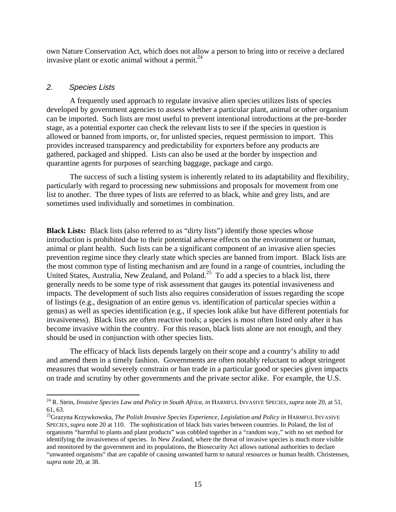own Nature Conservation Act, which does not allow a person to bring into or receive a declared invasive plant or exotic animal without a permit. $^{24}$ 

#### *2. Species Lists*

 $\overline{a}$ 

 A frequently used approach to regulate invasive alien species utilizes lists of species developed by government agencies to assess whether a particular plant, animal or other organism can be imported. Such lists are most useful to prevent intentional introductions at the pre-border stage, as a potential exporter can check the relevant lists to see if the species in question is allowed or banned from imports, or, for unlisted species, request permission to import. This provides increased transparency and predictability for exporters before any products are gathered, packaged and shipped. Lists can also be used at the border by inspection and quarantine agents for purposes of searching baggage, package and cargo.

The success of such a listing system is inherently related to its adaptability and flexibility, particularly with regard to processing new submissions and proposals for movement from one list to another. The three types of lists are referred to as black, white and grey lists, and are sometimes used individually and sometimes in combination.

**Black Lists:** Black lists (also referred to as "dirty lists") identify those species whose introduction is prohibited due to their potential adverse effects on the environment or human, animal or plant health. Such lists can be a significant component of an invasive alien species prevention regime since they clearly state which species are banned from import. Black lists are the most common type of listing mechanism and are found in a range of countries, including the United States, Australia, New Zealand, and Poland.<sup>25</sup> To add a species to a black list, there generally needs to be some type of risk assessment that gauges its potential invasiveness and impacts. The development of such lists also requires consideration of issues regarding the scope of listings (e.g., designation of an entire genus vs. identification of particular species within a genus) as well as species identification (e.g., if species look alike but have different potentials for invasiveness). Black lists are often reactive tools; a species is most often listed only after it has become invasive within the country. For this reason, black lists alone are not enough, and they should be used in conjunction with other species lists.

The efficacy of black lists depends largely on their scope and a country's ability to add and amend them in a timely fashion. Governments are often notably reluctant to adopt stringent measures that would severely constrain or ban trade in a particular good or species given impacts on trade and scrutiny by other governments and the private sector alike. For example, the U.S.

<sup>&</sup>lt;sup>24</sup> R. Stein, *Invasive Species Law and Policy in South Africa, in* HARMFUL INVASIVE SPECIES, *supra* note 20, at 51, 61, 63.

<sup>&</sup>lt;sup>25</sup>Grazyna Krzywkowska, *The Polish Invasive Species Experience, Legislation and Policy in* HARMFUL INVASIVE SPECIES, *supra* note 20 at 110. The sophistication of black lists varies between countries. In Poland, the list of organisms "harmful to plants and plant products" was cobbled together in a "random way," with no set method for identifying the invasiveness of species. In New Zealand, where the threat of invasive species is much more visible and monitored by the government and its populations, the Biosecurity Act allows national authorities to declare "unwanted organisms" that are capable of causing unwanted harm to natural resources or human health. Christensen, *supra* note 20, at 38.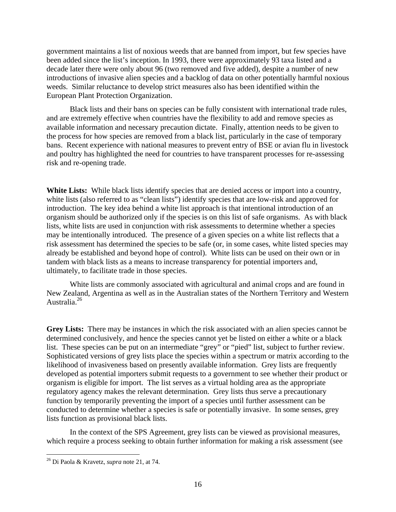government maintains a list of noxious weeds that are banned from import, but few species have been added since the list's inception. In 1993, there were approximately 93 taxa listed and a decade later there were only about 96 (two removed and five added), despite a number of new introductions of invasive alien species and a backlog of data on other potentially harmful noxious weeds. Similar reluctance to develop strict measures also has been identified within the European Plant Protection Organization.

Black lists and their bans on species can be fully consistent with international trade rules, and are extremely effective when countries have the flexibility to add and remove species as available information and necessary precaution dictate. Finally, attention needs to be given to the process for how species are removed from a black list, particularly in the case of temporary bans. Recent experience with national measures to prevent entry of BSE or avian flu in livestock and poultry has highlighted the need for countries to have transparent processes for re-assessing risk and re-opening trade.

**White Lists:** While black lists identify species that are denied access or import into a country, white lists (also referred to as "clean lists") identify species that are low-risk and approved for introduction. The key idea behind a white list approach is that intentional introduction of an organism should be authorized only if the species is on this list of safe organisms. As with black lists, white lists are used in conjunction with risk assessments to determine whether a species may be intentionally introduced. The presence of a given species on a white list reflects that a risk assessment has determined the species to be safe (or, in some cases, white listed species may already be established and beyond hope of control). White lists can be used on their own or in tandem with black lists as a means to increase transparency for potential importers and, ultimately, to facilitate trade in those species.

White lists are commonly associated with agricultural and animal crops and are found in New Zealand, Argentina as well as in the Australian states of the Northern Territory and Western Australia.26

Grey Lists: There may be instances in which the risk associated with an alien species cannot be determined conclusively, and hence the species cannot yet be listed on either a white or a black list. These species can be put on an intermediate "grey" or "pied" list, subject to further review. Sophisticated versions of grey lists place the species within a spectrum or matrix according to the likelihood of invasiveness based on presently available information. Grey lists are frequently developed as potential importers submit requests to a government to see whether their product or organism is eligible for import. The list serves as a virtual holding area as the appropriate regulatory agency makes the relevant determination. Grey lists thus serve a precautionary function by temporarily preventing the import of a species until further assessment can be conducted to determine whether a species is safe or potentially invasive. In some senses, grey lists function as provisional black lists.

In the context of the SPS Agreement, grey lists can be viewed as provisional measures, which require a process seeking to obtain further information for making a risk assessment (see

<sup>26</sup> Di Paola & Kravetz, *supra* note 21, at 74.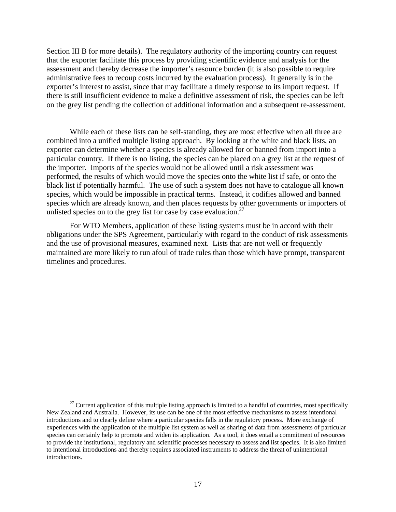Section III B for more details). The regulatory authority of the importing country can request that the exporter facilitate this process by providing scientific evidence and analysis for the assessment and thereby decrease the importer's resource burden (it is also possible to require administrative fees to recoup costs incurred by the evaluation process). It generally is in the exporter's interest to assist, since that may facilitate a timely response to its import request. If there is still insufficient evidence to make a definitive assessment of risk, the species can be left on the grey list pending the collection of additional information and a subsequent re-assessment.

While each of these lists can be self-standing, they are most effective when all three are combined into a unified multiple listing approach. By looking at the white and black lists, an exporter can determine whether a species is already allowed for or banned from import into a particular country. If there is no listing, the species can be placed on a grey list at the request of the importer. Imports of the species would not be allowed until a risk assessment was performed, the results of which would move the species onto the white list if safe, or onto the black list if potentially harmful. The use of such a system does not have to catalogue all known species, which would be impossible in practical terms. Instead, it codifies allowed and banned species which are already known, and then places requests by other governments or importers of unlisted species on to the grey list for case by case evaluation.<sup>27</sup>

For WTO Members, application of these listing systems must be in accord with their obligations under the SPS Agreement, particularly with regard to the conduct of risk assessments and the use of provisional measures, examined next. Lists that are not well or frequently maintained are more likely to run afoul of trade rules than those which have prompt, transparent timelines and procedures.

 $27$  Current application of this multiple listing approach is limited to a handful of countries, most specifically New Zealand and Australia. However, its use can be one of the most effective mechanisms to assess intentional introductions and to clearly define where a particular species falls in the regulatory process. More exchange of experiences with the application of the multiple list system as well as sharing of data from assessments of particular species can certainly help to promote and widen its application. As a tool, it does entail a commitment of resources to provide the institutional, regulatory and scientific processes necessary to assess and list species. It is also limited to intentional introductions and thereby requires associated instruments to address the threat of unintentional introductions.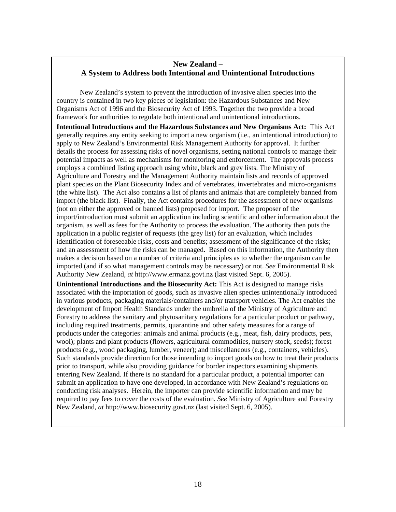## **New Zealand – A System to Address both Intentional and Unintentional Introductions**

New Zealand's system to prevent the introduction of invasive alien species into the country is contained in two key pieces of legislation: the Hazardous Substances and New Organisms Act of 1996 and the Biosecurity Act of 1993. Together the two provide a broad framework for authorities to regulate both intentional and unintentional introductions.

**Intentional Introductions and the Hazardous Substances and New Organisms Act:** This Act generally requires any entity seeking to import a new organism (i.e., an intentional introduction) to apply to New Zealand's Environmental Risk Management Authority for approval. It further details the process for assessing risks of novel organisms, setting national controls to manage their potential impacts as well as mechanisms for monitoring and enforcement. The approvals process employs a combined listing approach using white, black and grey lists. The Ministry of Agriculture and Forestry and the Management Authority maintain lists and records of approved plant species on the Plant Biosecurity Index and of vertebrates, invertebrates and micro-organisms (the white list). The Act also contains a list of plants and animals that are completely banned from import (the black list). Finally, the Act contains procedures for the assessment of new organisms (not on either the approved or banned lists) proposed for import. The proposer of the import/introduction must submit an application including scientific and other information about the organism, as well as fees for the Authority to process the evaluation. The authority then puts the application in a public register of requests (the grey list) for an evaluation, which includes identification of foreseeable risks, costs and benefits; assessment of the significance of the risks; and an assessment of how the risks can be managed. Based on this information, the Authority then makes a decision based on a number of criteria and principles as to whether the organism can be imported (and if so what management controls may be necessary) or not. *See* Environmental Risk Authority New Zealand, *at* http://www.ermanz.govt.nz (last visited Sept. 6, 2005).

**Unintentional Introductions and the Biosecurity Act:** This Act is designed to manage risks associated with the importation of goods, such as invasive alien species unintentionally introduced in various products, packaging materials/containers and/or transport vehicles. The Act enables the development of Import Health Standards under the umbrella of the Ministry of Agriculture and Forestry to address the sanitary and phytosanitary regulations for a particular product or pathway, including required treatments, permits, quarantine and other safety measures for a range of products under the categories: animals and animal products (e.g., meat, fish, dairy products, pets, wool); plants and plant products (flowers, agricultural commodities, nursery stock, seeds); forest products (e.g., wood packaging, lumber, veneer); and miscellaneous (e.g., containers, vehicles). Such standards provide direction for those intending to import goods on how to treat their products prior to transport, while also providing guidance for border inspectors examining shipments entering New Zealand. If there is no standard for a particular product, a potential importer can submit an application to have one developed, in accordance with New Zealand's regulations on conducting risk analyses. Herein, the importer can provide scientific information and may be required to pay fees to cover the costs of the evaluation. *See* Ministry of Agriculture and Forestry New Zealand, *at* http://www.biosecurity.govt.nz (last visited Sept. 6, 2005).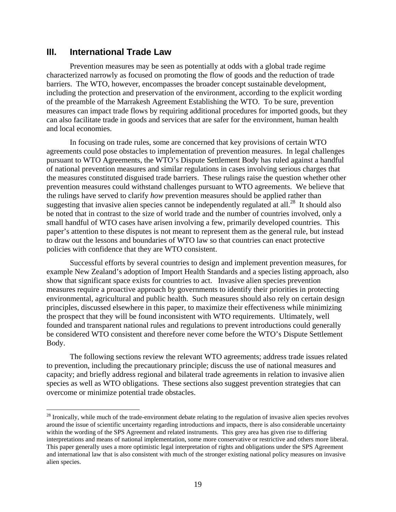## **III. International Trade Law**

 $\overline{a}$ 

Prevention measures may be seen as potentially at odds with a global trade regime characterized narrowly as focused on promoting the flow of goods and the reduction of trade barriers. The WTO, however, encompasses the broader concept sustainable development, including the protection and preservation of the environment, according to the explicit wording of the preamble of the Marrakesh Agreement Establishing the WTO. To be sure, prevention measures can impact trade flows by requiring additional procedures for imported goods, but they can also facilitate trade in goods and services that are safer for the environment, human health and local economies.

In focusing on trade rules, some are concerned that key provisions of certain WTO agreements could pose obstacles to implementation of prevention measures. In legal challenges pursuant to WTO Agreements, the WTO's Dispute Settlement Body has ruled against a handful of national prevention measures and similar regulations in cases involving serious charges that the measures constituted disguised trade barriers. These rulings raise the question whether other prevention measures could withstand challenges pursuant to WTO agreements. We believe that the rulings have served to clarify *how* prevention measures should be applied rather than suggesting that invasive alien species cannot be independently regulated at all.<sup>28</sup> It should also be noted that in contrast to the size of world trade and the number of countries involved, only a small handful of WTO cases have arisen involving a few, primarily developed countries. This paper's attention to these disputes is not meant to represent them as the general rule, but instead to draw out the lessons and boundaries of WTO law so that countries can enact protective policies with confidence that they are WTO consistent.

Successful efforts by several countries to design and implement prevention measures, for example New Zealand's adoption of Import Health Standards and a species listing approach, also show that significant space exists for countries to act. Invasive alien species prevention measures require a proactive approach by governments to identify their priorities in protecting environmental, agricultural and public health. Such measures should also rely on certain design principles, discussed elsewhere in this paper, to maximize their effectiveness while minimizing the prospect that they will be found inconsistent with WTO requirements. Ultimately, well founded and transparent national rules and regulations to prevent introductions could generally be considered WTO consistent and therefore never come before the WTO's Dispute Settlement Body.

The following sections review the relevant WTO agreements; address trade issues related to prevention, including the precautionary principle; discuss the use of national measures and capacity; and briefly address regional and bilateral trade agreements in relation to invasive alien species as well as WTO obligations. These sections also suggest prevention strategies that can overcome or minimize potential trade obstacles.

<sup>&</sup>lt;sup>28</sup> Ironically, while much of the trade-environment debate relating to the regulation of invasive alien species revolves around the issue of scientific uncertainty regarding introductions and impacts, there is also considerable uncertainty within the wording of the SPS Agreement and related instruments. This grey area has given rise to differing interpretations and means of national implementation, some more conservative or restrictive and others more liberal. This paper generally uses a more optimistic legal interpretation of rights and obligations under the SPS Agreement and international law that is also consistent with much of the stronger existing national policy measures on invasive alien species.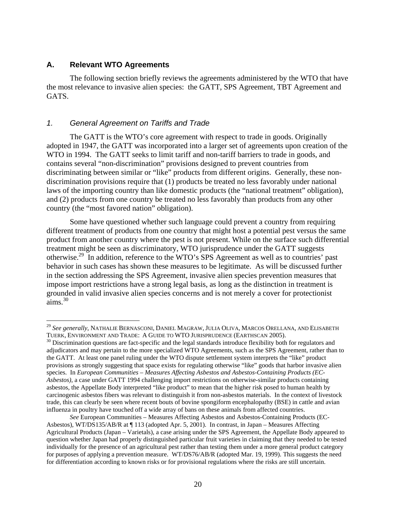#### **A. Relevant WTO Agreements**

1

The following section briefly reviews the agreements administered by the WTO that have the most relevance to invasive alien species: the GATT, SPS Agreement, TBT Agreement and GATS.

#### *1. General Agreement on Tariffs and Trade*

The GATT is the WTO's core agreement with respect to trade in goods. Originally adopted in 1947, the GATT was incorporated into a larger set of agreements upon creation of the WTO in 1994. The GATT seeks to limit tariff and non-tariff barriers to trade in goods, and contains several "non-discrimination" provisions designed to prevent countries from discriminating between similar or "like" products from different origins. Generally, these nondiscrimination provisions require that (1) products be treated no less favorably under national laws of the importing country than like domestic products (the "national treatment" obligation), and (2) products from one country be treated no less favorably than products from any other country (the "most favored nation" obligation).

Some have questioned whether such language could prevent a country from requiring different treatment of products from one country that might host a potential pest versus the same product from another country where the pest is not present. While on the surface such differential treatment might be seen as discriminatory, WTO jurisprudence under the GATT suggests otherwise.29 In addition, reference to the WTO's SPS Agreement as well as to countries' past behavior in such cases has shown these measures to be legitimate. As will be discussed further in the section addressing the SPS Agreement, invasive alien species prevention measures that impose import restrictions have a strong legal basis, as long as the distinction in treatment is grounded in valid invasive alien species concerns and is not merely a cover for protectionist  $aims.<sup>30</sup>$ 

<sup>&</sup>lt;sup>29</sup> *See generally*, NATHALIE BERNASCONI, DANIEL MAGRAW, JULIA OLIVA, MARCOS ORELLANA, AND ELISABETH TUERK, ENVIRONMENT AND TRADE: A GUIDE TO WTO JURISPRUDENCE (EARTHSCAN 2005).<br><sup>30</sup> Discrimination questions are fact-specific and the legal standards introduce flexibility both for regulators and

adjudicators and may pertain to the more specialized WTO Agreements, such as the SPS Agreement, rather than to the GATT. At least one panel ruling under the WTO dispute settlement system interprets the "like" product provisions as strongly suggesting that space exists for regulating otherwise "like" goods that harbor invasive alien species. In *European Communities – Measures Affecting Asbestos and Asbestos-Containing Products (EC-Asbestos)*, a case under GATT 1994 challenging import restrictions on otherwise-similar products containing asbestos, the Appellate Body interpreted "like product" to mean that the higher risk posed to human health by carcinogenic asbestos fibers was relevant to distinguish it from non-asbestos materials. In the context of livestock trade, this can clearly be seen where recent bouts of bovine spongiform encephalopathy (BSE) in cattle and avian influenza in poultry have touched off a wide array of bans on these animals from affected countries.

*See* European Communities – Measures Affecting Asbestos and Asbestos-Containing Products (EC-Asbestos), WT/DS135/AB/R at ¶ 113 (adopted Apr. 5, 2001). In contrast, in Japan – Measures Affecting Agricultural Products (Japan – Varietals), a case arising under the SPS Agreement, the Appellate Body appeared to question whether Japan had properly distinguished particular fruit varieties in claiming that they needed to be tested individually for the presence of an agricultural pest rather than testing them under a more general product category for purposes of applying a prevention measure. WT/DS76/AB/R (adopted Mar. 19, 1999). This suggests the need for differentiation according to known risks or for provisional regulations where the risks are still uncertain.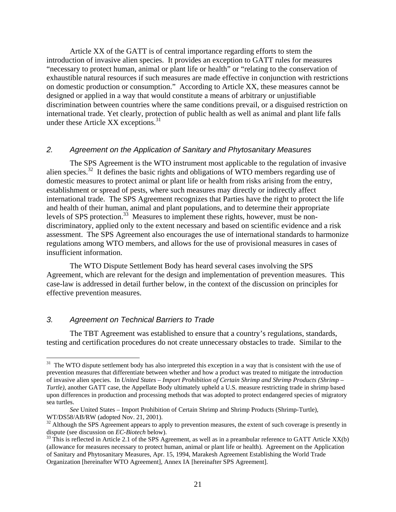Article XX of the GATT is of central importance regarding efforts to stem the introduction of invasive alien species. It provides an exception to GATT rules for measures "necessary to protect human, animal or plant life or health" or "relating to the conservation of exhaustible natural resources if such measures are made effective in conjunction with restrictions on domestic production or consumption." According to Article XX, these measures cannot be designed or applied in a way that would constitute a means of arbitrary or unjustifiable discrimination between countries where the same conditions prevail, or a disguised restriction on international trade. Yet clearly, protection of public health as well as animal and plant life falls under these Article XX exceptions.<sup>31</sup>

#### *2. Agreement on the Application of Sanitary and Phytosanitary Measures*

The SPS Agreement is the WTO instrument most applicable to the regulation of invasive alien species.<sup>32</sup> It defines the basic rights and obligations of WTO members regarding use of domestic measures to protect animal or plant life or health from risks arising from the entry, establishment or spread of pests, where such measures may directly or indirectly affect international trade. The SPS Agreement recognizes that Parties have the right to protect the life and health of their human, animal and plant populations, and to determine their appropriate levels of SPS protection.<sup>33</sup> Measures to implement these rights, however, must be nondiscriminatory, applied only to the extent necessary and based on scientific evidence and a risk assessment. The SPS Agreement also encourages the use of international standards to harmonize regulations among WTO members, and allows for the use of provisional measures in cases of insufficient information.

The WTO Dispute Settlement Body has heard several cases involving the SPS Agreement, which are relevant for the design and implementation of prevention measures. This case-law is addressed in detail further below, in the context of the discussion on principles for effective prevention measures.

#### *3. Agreement on Technical Barriers to Trade*

1

The TBT Agreement was established to ensure that a country's regulations, standards, testing and certification procedures do not create unnecessary obstacles to trade. Similar to the

<sup>&</sup>lt;sup>31</sup> The WTO dispute settlement body has also interpreted this exception in a way that is consistent with the use of prevention measures that differentiate between whether and how a product was treated to mitigate the introduction of invasive alien species. In *United States – Import Prohibition of Certain Shrimp and Shrimp Products (Shrimp – Turtle)*, another GATT case, the Appellate Body ultimately upheld a U.S. measure restricting trade in shrimp based upon differences in production and processing methods that was adopted to protect endangered species of migratory sea turtles.

*See* United States – Import Prohibition of Certain Shrimp and Shrimp Products (Shrimp-Turtle), WT/DS58/AB/RW (adopted Nov. 21, 2001).

 $32$  Although the SPS Agreement appears to apply to prevention measures, the extent of such coverage is presently in dispute (see discussion on *EC-Biotech* below).<br><sup>33</sup> This is reflected in Article 2.1 of the SPS Agreement, as well as in a preambular reference to GATT Article XX(b)

<sup>(</sup>allowance for measures necessary to protect human, animal or plant life or health). Agreement on the Application of Sanitary and Phytosanitary Measures, Apr. 15, 1994, Marakesh Agreement Establishing the World Trade Organization [hereinafter WTO Agreement], Annex IA [hereinafter SPS Agreement].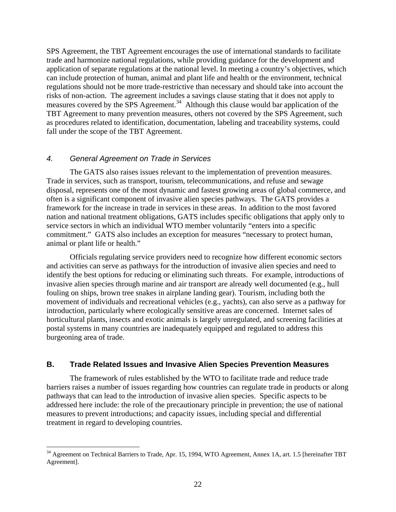SPS Agreement, the TBT Agreement encourages the use of international standards to facilitate trade and harmonize national regulations, while providing guidance for the development and application of separate regulations at the national level. In meeting a country's objectives, which can include protection of human, animal and plant life and health or the environment, technical regulations should not be more trade-restrictive than necessary and should take into account the risks of non-action. The agreement includes a savings clause stating that it does not apply to measures covered by the SPS Agreement.<sup>34</sup> Although this clause would bar application of the TBT Agreement to many prevention measures, others not covered by the SPS Agreement, such as procedures related to identification, documentation, labeling and traceability systems, could fall under the scope of the TBT Agreement.

#### *4. General Agreement on Trade in Services*

 $\overline{a}$ 

The GATS also raises issues relevant to the implementation of prevention measures. Trade in services, such as transport, tourism, telecommunications, and refuse and sewage disposal, represents one of the most dynamic and fastest growing areas of global commerce, and often is a significant component of invasive alien species pathways. The GATS provides a framework for the increase in trade in services in these areas. In addition to the most favored nation and national treatment obligations, GATS includes specific obligations that apply only to service sectors in which an individual WTO member voluntarily "enters into a specific commitment." GATS also includes an exception for measures "necessary to protect human, animal or plant life or health."

Officials regulating service providers need to recognize how different economic sectors and activities can serve as pathways for the introduction of invasive alien species and need to identify the best options for reducing or eliminating such threats. For example, introductions of invasive alien species through marine and air transport are already well documented (e.g., hull fouling on ships, brown tree snakes in airplane landing gear). Tourism, including both the movement of individuals and recreational vehicles (e.g., yachts), can also serve as a pathway for introduction, particularly where ecologically sensitive areas are concerned. Internet sales of horticultural plants, insects and exotic animals is largely unregulated, and screening facilities at postal systems in many countries are inadequately equipped and regulated to address this burgeoning area of trade.

#### **B. Trade Related Issues and Invasive Alien Species Prevention Measures**

The framework of rules established by the WTO to facilitate trade and reduce trade barriers raises a number of issues regarding how countries can regulate trade in products or along pathways that can lead to the introduction of invasive alien species. Specific aspects to be addressed here include: the role of the precautionary principle in prevention; the use of national measures to prevent introductions; and capacity issues, including special and differential treatment in regard to developing countries.

<sup>&</sup>lt;sup>34</sup> Agreement on Technical Barriers to Trade, Apr. 15, 1994, WTO Agreement, Annex 1A, art. 1.5 [hereinafter TBT Agreement].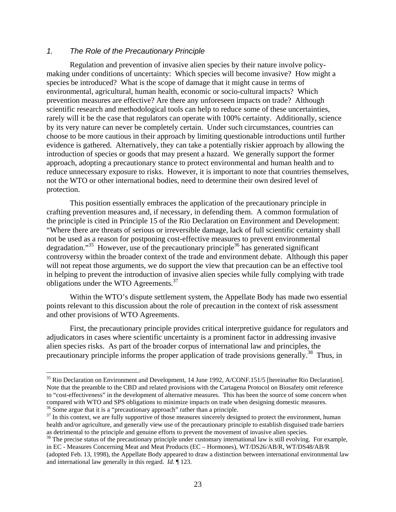#### *1. The Role of the Precautionary Principle*

 $\overline{a}$ 

Regulation and prevention of invasive alien species by their nature involve policymaking under conditions of uncertainty: Which species will become invasive? How might a species be introduced? What is the scope of damage that it might cause in terms of environmental, agricultural, human health, economic or socio-cultural impacts? Which prevention measures are effective? Are there any unforeseen impacts on trade? Although scientific research and methodological tools can help to reduce some of these uncertainties, rarely will it be the case that regulators can operate with 100% certainty. Additionally, science by its very nature can never be completely certain. Under such circumstances, countries can choose to be more cautious in their approach by limiting questionable introductions until further evidence is gathered. Alternatively, they can take a potentially riskier approach by allowing the introduction of species or goods that may present a hazard. We generally support the former approach, adopting a precautionary stance to protect environmental and human health and to reduce unnecessary exposure to risks. However, it is important to note that countries themselves, not the WTO or other international bodies, need to determine their own desired level of protection.

This position essentially embraces the application of the precautionary principle in crafting prevention measures and, if necessary, in defending them. A common formulation of the principle is cited in Principle 15 of the Rio Declaration on Environment and Development: "Where there are threats of serious or irreversible damage, lack of full scientific certainty shall not be used as a reason for postponing cost-effective measures to prevent environmental degradation."<sup>35</sup> However, use of the precautionary principle<sup>36</sup> has generated significant controversy within the broader context of the trade and environment debate. Although this paper will not repeat those arguments, we do support the view that precaution can be an effective tool in helping to prevent the introduction of invasive alien species while fully complying with trade obligations under the WTO Agreements.<sup>37</sup>

Within the WTO's dispute settlement system, the Appellate Body has made two essential points relevant to this discussion about the role of precaution in the context of risk assessment and other provisions of WTO Agreements.

First, the precautionary principle provides critical interpretive guidance for regulators and adjudicators in cases where scientific uncertainty is a prominent factor in addressing invasive alien species risks. As part of the broader corpus of international law and principles, the precautionary principle informs the proper application of trade provisions generally.<sup>38</sup> Thus, in

<sup>&</sup>lt;sup>35</sup> Rio Declaration on Environment and Development, 14 June 1992, A/CONF.151/5 [hereinafter Rio Declaration]. Note that the preamble to the CBD and related provisions with the Cartagena Protocol on Biosafety omit reference to "cost-effectiveness" in the development of alternative measures. This has been the source of some concern when compared with WTO and SPS obligations to minimize impacts on trade when designing domestic measures.<br><sup>36</sup> Some argue that it is a "precautionary approach" rather than a principle.<br><sup>37</sup> In this context, we are fully suppor

health and/or agriculture, and generally view use of the precautionary principle to establish disguised trade barriers as detrimental to the principle and genuine efforts to prevent the movement of invasive alien species.<br><sup>38</sup> The precise status of the precautionary principle under customary international law is still evolving. For example

in EC - Measures Concerning Meat and Meat Products (EC – Hormones), WT/DS26/AB/R, WT/DS48/AB/R (adopted Feb. 13, 1998), the Appellate Body appeared to draw a distinction between international environmental law and international law generally in this regard. *Id.* ¶ 123.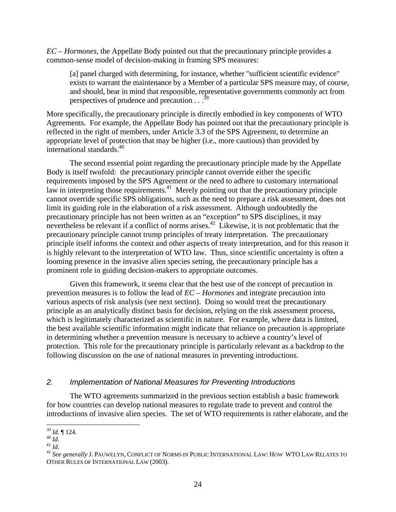*EC – Hormones*, the Appellate Body pointed out that the precautionary principle provides a common-sense model of decision-making in framing SPS measures:

[a] panel charged with determining, for instance, whether "sufficient scientific evidence" exists to warrant the maintenance by a Member of a particular SPS measure may, of course, and should, bear in mind that responsible, representative governments commonly act from perspectives of prudence and precaution  $\cdot$ .  $\cdot$ <sup>39</sup>

More specifically, the precautionary principle is directly embodied in key components of WTO Agreements. For example, the Appellate Body has pointed out that the precautionary principle is reflected in the right of members, under Article 3.3 of the SPS Agreement, to determine an appropriate level of protection that may be higher (i.e., more cautious) than provided by international standards.<sup>40</sup>

The second essential point regarding the precautionary principle made by the Appellate Body is itself twofold: the precautionary principle cannot override either the specific requirements imposed by the SPS Agreement or the need to adhere to customary international law in interpreting those requirements.<sup>41</sup> Merely pointing out that the precautionary principle cannot override specific SPS obligations, such as the need to prepare a risk assessment, does not limit its guiding role in the elaboration of a risk assessment. Although undoubtedly the precautionary principle has not been written as an "exception" to SPS disciplines, it may nevertheless be relevant if a conflict of norms arises.<sup>42</sup> Likewise, it is not problematic that the precautionary principle cannot trump principles of treaty interpretation. The precautionary principle itself informs the context and other aspects of treaty interpretation, and for this reason it is highly relevant to the interpretation of WTO law. Thus, since scientific uncertainty is often a looming presence in the invasive alien species setting, the precautionary principle has a prominent role in guiding decision-makers to appropriate outcomes.

Given this framework, it seems clear that the best use of the concept of precaution in prevention measures is to follow the lead of *EC – Hormones* and integrate precaution into various aspects of risk analysis (see next section). Doing so would treat the precautionary principle as an analytically distinct basis for decision, relying on the risk assessment process, which is legitimately characterized as scientific in nature. For example, where data is limited, the best available scientific information might indicate that reliance on precaution is appropriate in determining whether a prevention measure is necessary to achieve a country's level of protection. This role for the precautionary principle is particularly relevant as a backdrop to the following discussion on the use of national measures in preventing introductions.

## *2. Implementation of National Measures for Preventing Introductions*

The WTO agreements summarized in the previous section establish a basic framework for how countries can develop national measures to regulate trade to prevent and control the introductions of invasive alien species. The set of WTO requirements is rather elaborate, and the

 $^{39}_{40}$  *Id.* ¶ 124.<br> $^{40}$  *Id.* 

<sup>39</sup> *Id.* ¶ 124. <sup>40</sup> *Id.*<sup>41</sup> *Id.* <sup>42</sup> *See generally* J. PAUWELYN*,* CONFLICT OF NORMS IN PUBLIC INTERNATIONAL LAW: HOW WTO LAW RELATES TO OTHER RULES OF INTERNATIONAL LAW (2003).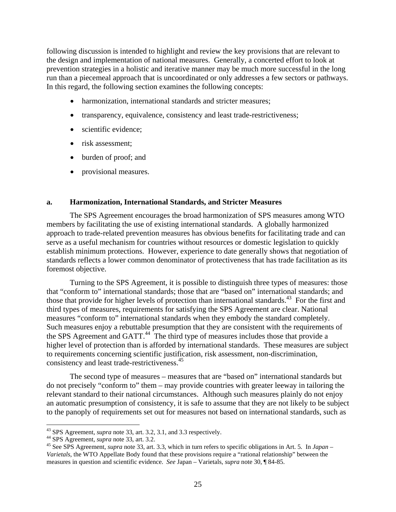following discussion is intended to highlight and review the key provisions that are relevant to the design and implementation of national measures. Generally, a concerted effort to look at prevention strategies in a holistic and iterative manner may be much more successful in the long run than a piecemeal approach that is uncoordinated or only addresses a few sectors or pathways. In this regard, the following section examines the following concepts:

- harmonization, international standards and stricter measures;
- transparency, equivalence, consistency and least trade-restrictiveness;
- scientific evidence:
- risk assessment:
- burden of proof; and
- provisional measures.

#### **a. Harmonization, International Standards, and Stricter Measures**

The SPS Agreement encourages the broad harmonization of SPS measures among WTO members by facilitating the use of existing international standards. A globally harmonized approach to trade-related prevention measures has obvious benefits for facilitating trade and can serve as a useful mechanism for countries without resources or domestic legislation to quickly establish minimum protections. However, experience to date generally shows that negotiation of standards reflects a lower common denominator of protectiveness that has trade facilitation as its foremost objective.

Turning to the SPS Agreement, it is possible to distinguish three types of measures: those that "conform to" international standards; those that are "based on" international standards; and those that provide for higher levels of protection than international standards.<sup>43</sup> For the first and third types of measures, requirements for satisfying the SPS Agreement are clear. National measures "conform to" international standards when they embody the standard completely. Such measures enjoy a rebuttable presumption that they are consistent with the requirements of the SPS Agreement and GATT.<sup>44</sup> The third type of measures includes those that provide a higher level of protection than is afforded by international standards. These measures are subject to requirements concerning scientific justification, risk assessment, non-discrimination, consistency and least trade-restrictiveness.45

The second type of measures – measures that are "based on" international standards but do not precisely "conform to" them – may provide countries with greater leeway in tailoring the relevant standard to their national circumstances. Although such measures plainly do not enjoy an automatic presumption of consistency, it is safe to assume that they are not likely to be subject to the panoply of requirements set out for measures not based on international standards, such as

<sup>&</sup>lt;sup>43</sup> SPS Agreement, *supra* note 33, art. 3.2, 3.1, and 3.3 respectively.

<sup>&</sup>lt;sup>44</sup> SPS Agreement, *supra* note 33, art. 3.2.<br><sup>45</sup> See SPS Agreement, *supra* note 33, art. 3.3, which in turn refers to specific obligations in Art. 5. In Japan – *Varietals*, the WTO Appellate Body found that these provisions require a "rational relationship" between the measures in question and scientific evidence. *See* Japan – Varietals*, supra* note 30, ¶ 84-85.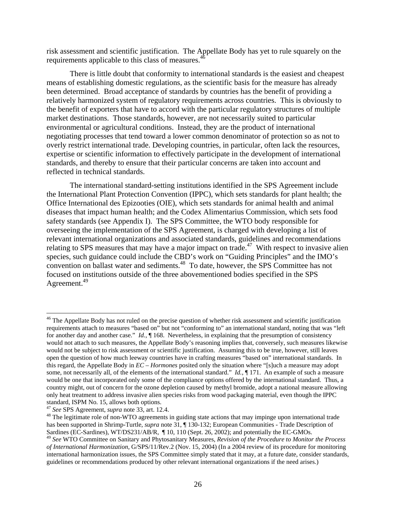risk assessment and scientific justification. The Appellate Body has yet to rule squarely on the requirements applicable to this class of measures.<sup>4</sup>

There is little doubt that conformity to international standards is the easiest and cheapest means of establishing domestic regulations, as the scientific basis for the measure has already been determined. Broad acceptance of standards by countries has the benefit of providing a relatively harmonized system of regulatory requirements across countries. This is obviously to the benefit of exporters that have to accord with the particular regulatory structures of multiple market destinations. Those standards, however, are not necessarily suited to particular environmental or agricultural conditions. Instead, they are the product of international negotiating processes that tend toward a lower common denominator of protection so as not to overly restrict international trade. Developing countries, in particular, often lack the resources, expertise or scientific information to effectively participate in the development of international standards, and thereby to ensure that their particular concerns are taken into account and reflected in technical standards.

The international standard-setting institutions identified in the SPS Agreement include the International Plant Protection Convention (IPPC), which sets standards for plant health; the Office International des Epizooties (OIE), which sets standards for animal health and animal diseases that impact human health; and the Codex Alimentarius Commission, which sets food safety standards (see Appendix I). The SPS Committee, the WTO body responsible for overseeing the implementation of the SPS Agreement, is charged with developing a list of relevant international organizations and associated standards, guidelines and recommendations relating to SPS measures that may have a major impact on trade.<sup>47</sup> With respect to invasive alien species, such guidance could include the CBD's work on "Guiding Principles" and the IMO's convention on ballast water and sediments.<sup>48</sup> To date, however, the SPS Committee has not focused on institutions outside of the three abovementioned bodies specified in the SPS Agreement.<sup>49</sup>

 $46$  The Appellate Body has not ruled on the precise question of whether risk assessment and scientific justification requirements attach to measures "based on" but not "conforming to" an international standard, noting that was "left for another day and another case." *Id.*,  $\P$  168. Nevertheless, in explaining that the presumption of consistency would not attach to such measures, the Appellate Body's reasoning implies that, conversely, such measures likewise would not be subject to risk assessment or scientific justification. Assuming this to be true, however, still leaves open the question of how much leeway countries have in crafting measures "based on" international standards. In this regard, the Appellate Body in *EC – Hormones* posited only the situation where "[s]uch a measure may adopt some, not necessarily all, of the elements of the international standard." *Id.*, ¶ 171. An example of such a measure would be one that incorporated only some of the compliance options offered by the international standard. Thus, a country might, out of concern for the ozone depletion caused by methyl bromide, adopt a national measure allowing only heat treatment to address invasive alien species risks from wood packaging material, even though the IPPC standard, ISPM No. 15, allows both options.<br><sup>47</sup> See SPS Agreement, *supra* note 33, art. 12.4.

<sup>&</sup>lt;sup>48</sup> The legitimate role of non-WTO agreements in guiding state actions that may impinge upon international trade has been supported in Shrimp-Turtle, *supra* note 31,  $\P$  130-132; European Communities - Trade Description of Sardines (EC-Sardines), WT/DS231/AB/R,  $\P$  10, 110 (Sept. 26, 2002); and potentially the EC-GMOs.

<sup>49</sup> *See* WTO Committee on Sanitary and Phytosanitary Measures, *Revision of the Procedure to Monitor the Process of International Harmonization*, G/SPS/11/Rev.2 (Nov. 15, 2004) (In a 2004 review of its procedure for monitoring international harmonization issues, the SPS Committee simply stated that it may, at a future date, consider standards, guidelines or recommendations produced by other relevant international organizations if the need arises.)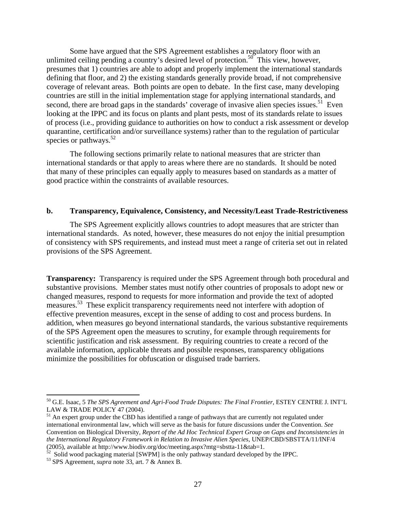Some have argued that the SPS Agreement establishes a regulatory floor with an unlimited ceiling pending a country's desired level of protection.<sup>50</sup> This view, however, presumes that 1) countries are able to adopt and properly implement the international standards defining that floor, and 2) the existing standards generally provide broad, if not comprehensive coverage of relevant areas. Both points are open to debate. In the first case, many developing countries are still in the initial implementation stage for applying international standards, and second, there are broad gaps in the standards' coverage of invasive alien species issues.<sup>51</sup> Even looking at the IPPC and its focus on plants and plant pests, most of its standards relate to issues of process (i.e., providing guidance to authorities on how to conduct a risk assessment or develop quarantine, certification and/or surveillance systems) rather than to the regulation of particular species or pathways. $52$ 

The following sections primarily relate to national measures that are stricter than international standards or that apply to areas where there are no standards. It should be noted that many of these principles can equally apply to measures based on standards as a matter of good practice within the constraints of available resources.

#### **b. Transparency, Equivalence, Consistency, and Necessity/Least Trade-Restrictiveness**

The SPS Agreement explicitly allows countries to adopt measures that are stricter than international standards. As noted, however, these measures do not enjoy the initial presumption of consistency with SPS requirements, and instead must meet a range of criteria set out in related provisions of the SPS Agreement.

**Transparency:** Transparency is required under the SPS Agreement through both procedural and substantive provisions. Member states must notify other countries of proposals to adopt new or changed measures, respond to requests for more information and provide the text of adopted measures.53 These explicit transparency requirements need not interfere with adoption of effective prevention measures, except in the sense of adding to cost and process burdens. In addition, when measures go beyond international standards, the various substantive requirements of the SPS Agreement open the measures to scrutiny, for example through requirements for scientific justification and risk assessment. By requiring countries to create a record of the available information, applicable threats and possible responses, transparency obligations minimize the possibilities for obfuscation or disguised trade barriers.

<sup>50</sup> G.E. Isaac, 5 *The SPS Agreement and Agri-Food Trade Disputes: The Final Frontier*, ESTEY CENTRE J. INT'L LAW & TRADE POLICY 47 (2004).

 $<sup>51</sup>$  An expert group under the CBD has identified a range of pathways that are currently not regulated under</sup> international environmental law, which will serve as the basis for future discussions under the Convention. *See* Convention on Biological Diversity, *Report of the Ad Hoc Technical Expert Group on Gaps and Inconsistencies in the International Regulatory Framework in Relation to Invasive Alien Species*, UNEP/CBD/SBSTTA/11/INF/4 (2005), available at http://www.biodiv.org/doc/meeting.aspx?mtg=sbstta-11&tab=1. 52 Solid wood packaging material [SWPM] is the only pathway standard developed by the IPPC.

<sup>53</sup> SPS Agreement, *supra* note 33, art. 7 & Annex B.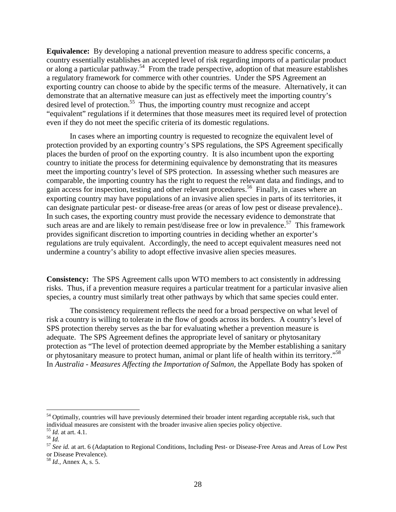**Equivalence:** By developing a national prevention measure to address specific concerns, a country essentially establishes an accepted level of risk regarding imports of a particular product or along a particular pathway.<sup>54</sup> From the trade perspective, adoption of that measure establishes a regulatory framework for commerce with other countries. Under the SPS Agreement an exporting country can choose to abide by the specific terms of the measure. Alternatively, it can demonstrate that an alternative measure can just as effectively meet the importing country's desired level of protection.<sup>55</sup> Thus, the importing country must recognize and accept "equivalent" regulations if it determines that those measures meet its required level of protection even if they do not meet the specific criteria of its domestic regulations.

In cases where an importing country is requested to recognize the equivalent level of protection provided by an exporting country's SPS regulations, the SPS Agreement specifically places the burden of proof on the exporting country. It is also incumbent upon the exporting country to initiate the process for determining equivalence by demonstrating that its measures meet the importing country's level of SPS protection. In assessing whether such measures are comparable, the importing country has the right to request the relevant data and findings, and to gain access for inspection, testing and other relevant procedures.56 Finally, in cases where an exporting country may have populations of an invasive alien species in parts of its territories, it can designate particular pest- or disease-free areas (or areas of low pest or disease prevalence).. In such cases, the exporting country must provide the necessary evidence to demonstrate that such areas are and are likely to remain pest/disease free or low in prevalence.<sup>57</sup> This framework provides significant discretion to importing countries in deciding whether an exporter's regulations are truly equivalent. Accordingly, the need to accept equivalent measures need not undermine a country's ability to adopt effective invasive alien species measures.

**Consistency:** The SPS Agreement calls upon WTO members to act consistently in addressing risks. Thus, if a prevention measure requires a particular treatment for a particular invasive alien species, a country must similarly treat other pathways by which that same species could enter.

The consistency requirement reflects the need for a broad perspective on what level of risk a country is willing to tolerate in the flow of goods across its borders. A country's level of SPS protection thereby serves as the bar for evaluating whether a prevention measure is adequate. The SPS Agreement defines the appropriate level of sanitary or phytosanitary protection as "The level of protection deemed appropriate by the Member establishing a sanitary or phytosanitary measure to protect human, animal or plant life of health within its territory."58 In *Australia - Measures Affecting the Importation of Salmon,* the Appellate Body has spoken of

<sup>&</sup>lt;sup>54</sup> Optimally, countries will have previously determined their broader intent regarding acceptable risk, such that individual measures are consistent with the broader invasive alien species policy objective.<br><sup>55</sup> *Id.* at art. 4.1.

<sup>55</sup> *Id.* at art. 4.1. 56 *Id.* <sup>57</sup> *See id.* at art. 6 (Adaptation to Regional Conditions, Including Pest- or Disease-Free Areas and Areas of Low Pest or Disease Prevalence).

<sup>58</sup> *Id.,* Annex A, s. 5.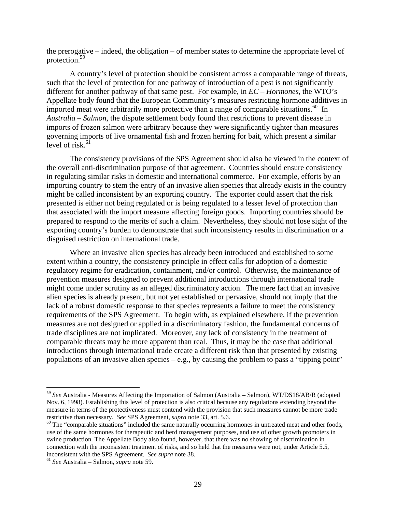the prerogative – indeed, the obligation – of member states to determine the appropriate level of protection.59

A country's level of protection should be consistent across a comparable range of threats, such that the level of protection for one pathway of introduction of a pest is not significantly different for another pathway of that same pest. For example, in *EC – Hormones*, the WTO's Appellate body found that the European Community's measures restricting hormone additives in imported meat were arbitrarily more protective than a range of comparable situations.<sup>60</sup> In *Australia – Salmon*, the dispute settlement body found that restrictions to prevent disease in imports of frozen salmon were arbitrary because they were significantly tighter than measures governing imports of live ornamental fish and frozen herring for bait, which present a similar level of risk. $61$ 

The consistency provisions of the SPS Agreement should also be viewed in the context of the overall anti-discrimination purpose of that agreement. Countries should ensure consistency in regulating similar risks in domestic and international commerce. For example, efforts by an importing country to stem the entry of an invasive alien species that already exists in the country might be called inconsistent by an exporting country. The exporter could assert that the risk presented is either not being regulated or is being regulated to a lesser level of protection than that associated with the import measure affecting foreign goods. Importing countries should be prepared to respond to the merits of such a claim. Nevertheless, they should not lose sight of the exporting country's burden to demonstrate that such inconsistency results in discrimination or a disguised restriction on international trade.

Where an invasive alien species has already been introduced and established to some extent within a country, the consistency principle in effect calls for adoption of a domestic regulatory regime for eradication, containment, and/or control. Otherwise, the maintenance of prevention measures designed to prevent additional introductions through international trade might come under scrutiny as an alleged discriminatory action. The mere fact that an invasive alien species is already present, but not yet established or pervasive, should not imply that the lack of a robust domestic response to that species represents a failure to meet the consistency requirements of the SPS Agreement. To begin with, as explained elsewhere, if the prevention measures are not designed or applied in a discriminatory fashion, the fundamental concerns of trade disciplines are not implicated. Moreover, any lack of consistency in the treatment of comparable threats may be more apparent than real. Thus, it may be the case that additional introductions through international trade create a different risk than that presented by existing populations of an invasive alien species – e.g., by causing the problem to pass a "tipping point"

<sup>59</sup> *See* Australia - Measures Affecting the Importation of Salmon (Australia – Salmon), WT/DS18/AB/R (adopted Nov. 6, 1998). Establishing this level of protection is also critical because any regulations extending beyond the measure in terms of the protectiveness must contend with the provision that such measures cannot be more trade restrictive than necessary. *See* SPS Agreement, *supra* note 33, art. 5.6. <sup>60</sup> The "comparable situations" included the same naturally occurring hormones in untreated meat and other foods,

use of the same hormones for therapeutic and herd management purposes, and use of other growth promoters in swine production. The Appellate Body also found, however, that there was no showing of discrimination in connection with the inconsistent treatment of risks, and so held that the measures were not, under Article 5.5, inconsistent with the SPS Agreement. *See supra* note 38. 61 *See* Australia – Salmon, *supra* note 59.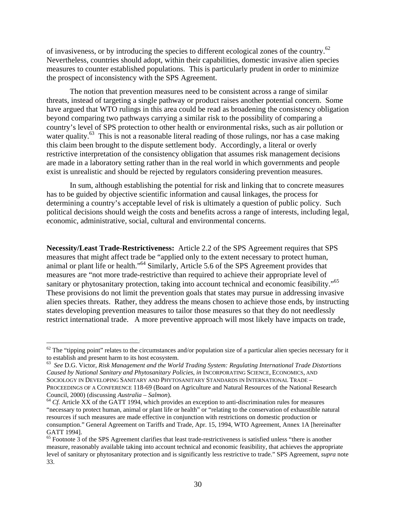of invasiveness, or by introducing the species to different ecological zones of the country.62 Nevertheless, countries should adopt, within their capabilities, domestic invasive alien species measures to counter established populations. This is particularly prudent in order to minimize the prospect of inconsistency with the SPS Agreement.

The notion that prevention measures need to be consistent across a range of similar threats, instead of targeting a single pathway or product raises another potential concern. Some have argued that WTO rulings in this area could be read as broadening the consistency obligation beyond comparing two pathways carrying a similar risk to the possibility of comparing a country's level of SPS protection to other health or environmental risks, such as air pollution or water quality.<sup>63</sup> This is not a reasonable literal reading of those rulings, nor has a case making this claim been brought to the dispute settlement body. Accordingly, a literal or overly restrictive interpretation of the consistency obligation that assumes risk management decisions are made in a laboratory setting rather than in the real world in which governments and people exist is unrealistic and should be rejected by regulators considering prevention measures.

In sum, although establishing the potential for risk and linking that to concrete measures has to be guided by objective scientific information and causal linkages, the process for determining a country's acceptable level of risk is ultimately a question of public policy. Such political decisions should weigh the costs and benefits across a range of interests, including legal, economic, administrative, social, cultural and environmental concerns.

**Necessity/Least Trade-Restrictiveness:** Article 2.2 of the SPS Agreement requires that SPS measures that might affect trade be "applied only to the extent necessary to protect human, animal or plant life or health."64 Similarly, Article 5.6 of the SPS Agreement provides that measures are "not more trade-restrictive than required to achieve their appropriate level of sanitary or phytosanitary protection, taking into account technical and economic feasibility."<sup>65</sup> These provisions do not limit the prevention goals that states may pursue in addressing invasive alien species threats. Rather, they address the means chosen to achieve those ends, by instructing states developing prevention measures to tailor those measures so that they do not needlessly restrict international trade. A more preventive approach will most likely have impacts on trade,

 $62$  The "tipping point" relates to the circumstances and/or population size of a particular alien species necessary for it to establish and present harm to its host ecosystem.

<sup>63</sup> *See* D.G. Victor, *Risk Management and the World Trading System: Regulating International Trade Distortions Caused by National Sanitary and Phytosanitary Policies*, *in* INCORPORATING SCIENCE, ECONOMICS, AND SOCIOLOGY IN DEVELOPING SANITARY AND PHYTOSANITARY STANDARDS IN INTERNATIONAL TRADE – PROCEEDINGS OF A CONFERENCE 118-69 (Board on Agriculture and Natural Resources of the National Research Council, 2000) (discussing *Australia – Salmon*).<br><sup>64</sup> *Cf.* Article XX of the GATT 1994, which provides an exception to anti-discrimination rules for measures

<sup>&</sup>quot;necessary to protect human, animal or plant life or health" or "relating to the conservation of exhaustible natural resources if such measures are made effective in conjunction with restrictions on domestic production or consumption." General Agreement on Tariffs and Trade, Apr. 15, 1994, WTO Agreement, Annex 1A [hereinafter GATT 1994].

 $65$  Footnote 3 of the SPS Agreement clarifies that least trade-restrictiveness is satisfied unless "there is another measure, reasonably available taking into account technical and economic feasibility, that achieves the appropriate level of sanitary or phytosanitary protection and is significantly less restrictive to trade." SPS Agreement, *supra* note 33.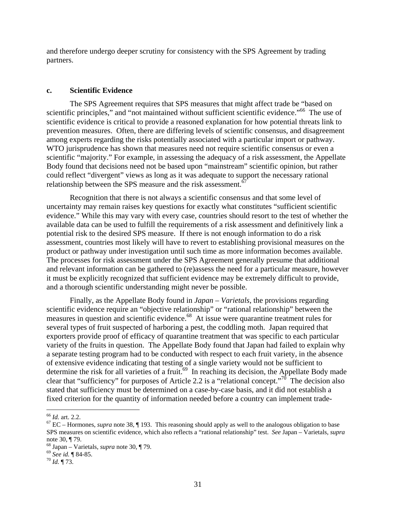and therefore undergo deeper scrutiny for consistency with the SPS Agreement by trading partners.

#### **c. Scientific Evidence**

The SPS Agreement requires that SPS measures that might affect trade be "based on scientific principles," and "not maintained without sufficient scientific evidence."<sup>66</sup> The use of scientific evidence is critical to provide a reasoned explanation for how potential threats link to prevention measures. Often, there are differing levels of scientific consensus, and disagreement among experts regarding the risks potentially associated with a particular import or pathway. WTO jurisprudence has shown that measures need not require scientific consensus or even a scientific "majority." For example, in assessing the adequacy of a risk assessment, the Appellate Body found that decisions need not be based upon "mainstream" scientific opinion, but rather could reflect "divergent" views as long as it was adequate to support the necessary rational relationship between the SPS measure and the risk assessment.<sup>6</sup>

Recognition that there is not always a scientific consensus and that some level of uncertainty may remain raises key questions for exactly what constitutes "sufficient scientific evidence." While this may vary with every case, countries should resort to the test of whether the available data can be used to fulfill the requirements of a risk assessment and definitively link a potential risk to the desired SPS measure. If there is not enough information to do a risk assessment, countries most likely will have to revert to establishing provisional measures on the product or pathway under investigation until such time as more information becomes available. The processes for risk assessment under the SPS Agreement generally presume that additional and relevant information can be gathered to (re)assess the need for a particular measure, however it must be explicitly recognized that sufficient evidence may be extremely difficult to provide, and a thorough scientific understanding might never be possible.

Finally, as the Appellate Body found in *Japan – Varietals*, the provisions regarding scientific evidence require an "objective relationship" or "rational relationship" between the measures in question and scientific evidence.<sup>68</sup> At issue were quarantine treatment rules for several types of fruit suspected of harboring a pest, the coddling moth. Japan required that exporters provide proof of efficacy of quarantine treatment that was specific to each particular variety of the fruits in question. The Appellate Body found that Japan had failed to explain why a separate testing program had to be conducted with respect to each fruit variety, in the absence of extensive evidence indicating that testing of a single variety would not be sufficient to determine the risk for all varieties of a fruit.<sup>69</sup> In reaching its decision, the Appellate Body made clear that "sufficiency" for purposes of Article 2.2 is a "relational concept."70 The decision also stated that sufficiency must be determined on a case-by-case basis, and it did not establish a fixed criterion for the quantity of information needed before a country can implement trade-

 $66$  *Id.* art. 2.2.

<sup>&</sup>lt;sup>67</sup> EC – Hormones, *supra* note 38, ¶ 193. This reasoning should apply as well to the analogous obligation to base SPS measures on scientific evidence, which also reflects a "rational relationship" test. *See* Japan – Varietals, *supra*  note 30, ¶ 79.

<sup>68</sup> Japan – Varietals, *supra* note 30, ¶ 79. 69 *See id.* ¶ 84-85. 70 *Id.* ¶ 73.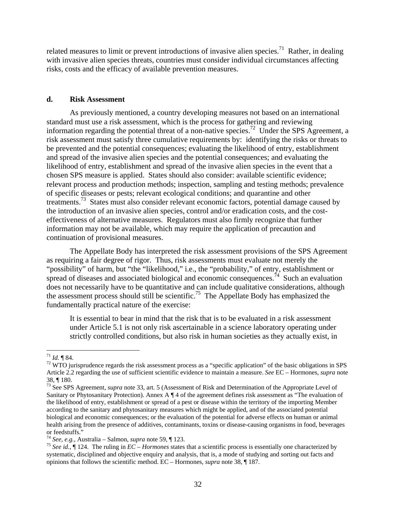related measures to limit or prevent introductions of invasive alien species.<sup>71</sup> Rather, in dealing with invasive alien species threats, countries must consider individual circumstances affecting risks, costs and the efficacy of available prevention measures.

#### **d. Risk Assessment**

As previously mentioned, a country developing measures not based on an international standard must use a risk assessment, which is the process for gathering and reviewing information regarding the potential threat of a non-native species.<sup>72</sup> Under the SPS Agreement, a risk assessment must satisfy three cumulative requirements by: identifying the risks or threats to be prevented and the potential consequences; evaluating the likelihood of entry, establishment and spread of the invasive alien species and the potential consequences; and evaluating the likelihood of entry, establishment and spread of the invasive alien species in the event that a chosen SPS measure is applied. States should also consider: available scientific evidence; relevant process and production methods; inspection, sampling and testing methods; prevalence of specific diseases or pests; relevant ecological conditions; and quarantine and other treatments.<sup>73</sup> States must also consider relevant economic factors, potential damage caused by the introduction of an invasive alien species, control and/or eradication costs, and the costeffectiveness of alternative measures. Regulators must also firmly recognize that further information may not be available, which may require the application of precaution and continuation of provisional measures.

The Appellate Body has interpreted the risk assessment provisions of the SPS Agreement as requiring a fair degree of rigor. Thus, risk assessments must evaluate not merely the "possibility" of harm, but "the "likelihood," i.e., the "probability," of entry, establishment or spread of diseases and associated biological and economic consequences.<sup>74</sup> Such an evaluation does not necessarily have to be quantitative and can include qualitative considerations, although the assessment process should still be scientific.75 The Appellate Body has emphasized the fundamentally practical nature of the exercise:

It is essential to bear in mind that the risk that is to be evaluated in a risk assessment under Article 5.1 is not only risk ascertainable in a science laboratory operating under strictly controlled conditions, but also risk in human societies as they actually exist, in

 $171$  *Id.* 184.

 $72$  WTO jurisprudence regards the risk assessment process as a "specific application" of the basic obligations in SPS Article 2.2 regarding the use of sufficient scientific evidence to maintain a measure. *See* EC – Hormones, *supra* note 38, ¶ 180.

<sup>73</sup> See SPS Agreement, *supra* note 33, art. 5 (Assessment of Risk and Determination of the Appropriate Level of Sanitary or Phytosanitary Protection). Annex A ¶ 4 of the agreement defines risk assessment as "The evaluation of the likelihood of entry, establishment or spread of a pest or disease within the territory of the importing Member according to the sanitary and phytosanitary measures which might be applied, and of the associated potential biological and economic consequences; or the evaluation of the potential for adverse effects on human or animal health arising from the presence of additives, contaminants, toxins or disease-causing organisms in food, beverages or feedstuffs."<br> $74$  *See, e.g.*, Australia – Salmon, *supra* note 59, ¶ 123.

<sup>&</sup>lt;sup>75</sup> *See id.*,  $\P$  124. The ruling in  $EC-Hormones$  states that a scientific process is essentially one characterized by systematic, disciplined and objective enquiry and analysis, that is, a mode of studying and sorting out facts and opinions that follows the scientific method. EC – Hormones, *supra* note 38, ¶ 187.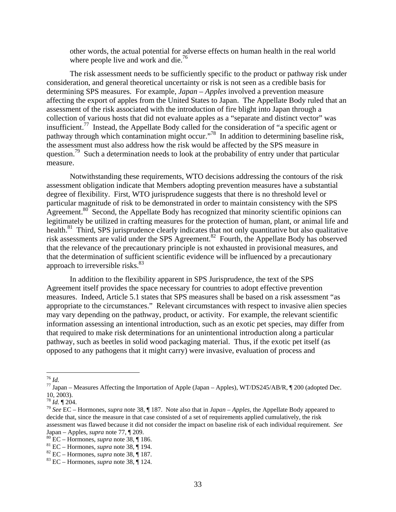other words, the actual potential for adverse effects on human health in the real world where people live and work and die. $^{76}$ 

The risk assessment needs to be sufficiently specific to the product or pathway risk under consideration, and general theoretical uncertainty or risk is not seen as a credible basis for determining SPS measures. For example, *Japan – Apples* involved a prevention measure affecting the export of apples from the United States to Japan. The Appellate Body ruled that an assessment of the risk associated with the introduction of fire blight into Japan through a collection of various hosts that did not evaluate apples as a "separate and distinct vector" was insufficient.77 Instead, the Appellate Body called for the consideration of "a specific agent or pathway through which contamination might occur."<sup>78</sup> In addition to determining baseline risk, the assessment must also address how the risk would be affected by the SPS measure in question.<sup>79</sup> Such a determination needs to look at the probability of entry under that particular measure.

Notwithstanding these requirements, WTO decisions addressing the contours of the risk assessment obligation indicate that Members adopting prevention measures have a substantial degree of flexibility. First, WTO jurisprudence suggests that there is no threshold level or particular magnitude of risk to be demonstrated in order to maintain consistency with the SPS Agreement. $80^\circ$  Second, the Appellate Body has recognized that minority scientific opinions can legitimately be utilized in crafting measures for the protection of human, plant, or animal life and health.<sup>81</sup> Third, SPS jurisprudence clearly indicates that not only quantitative but also qualitative risk assessments are valid under the SPS Agreement.<sup>82</sup> Fourth, the Appellate Body has observed that the relevance of the precautionary principle is not exhausted in provisional measures, and that the determination of sufficient scientific evidence will be influenced by a precautionary approach to irreversible risks.<sup>83</sup>

In addition to the flexibility apparent in SPS Jurisprudence, the text of the SPS Agreement itself provides the space necessary for countries to adopt effective prevention measures. Indeed, Article 5.1 states that SPS measures shall be based on a risk assessment "as appropriate to the circumstances." Relevant circumstances with respect to invasive alien species may vary depending on the pathway, product, or activity. For example, the relevant scientific information assessing an intentional introduction, such as an exotic pet species, may differ from that required to make risk determinations for an unintentional introduction along a particular pathway, such as beetles in solid wood packaging material. Thus, if the exotic pet itself (as opposed to any pathogens that it might carry) were invasive, evaluation of process and

 $^{76}\,$  Id.

<sup>&</sup>lt;sup>77</sup> Japan – Measures Affecting the Importation of Apple (Japan – Apples), WT/DS245/AB/R, ¶ 200 (adopted Dec. 10, 2003).<br><sup>78</sup> Id. ¶ 204.

<sup>78</sup> *Id.* ¶ 204. 79 *See* EC – Hormones, *supra* note 38, ¶ 187. Note also that in *Japan – Apples*, the Appellate Body appeared to decide that, since the measure in that case consisted of a set of requirements applied cumulatively, the risk assessment was flawed because it did not consider the impact on baseline risk of each individual requirement. *See* 

Japan – Apples, *supra* note 77, ¶ 209.<br><sup>80</sup> EC – Hormones, *supra* note 38, ¶ 186.<br><sup>81</sup> EC – Hormones, *supra* note 38, ¶ 194.<br><sup>82</sup> EC – Hormones, *supra* note 38, ¶ 187.<br><sup>83</sup> EC – Hormones, *supra* note 38, ¶ 124.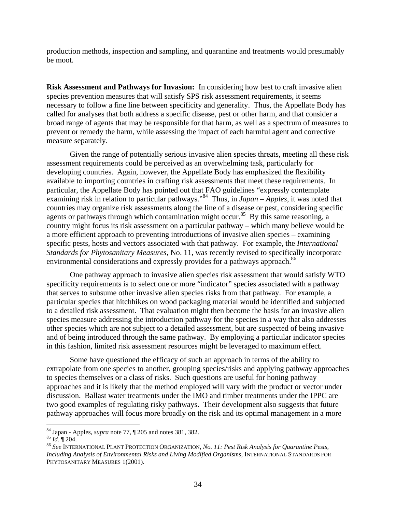production methods, inspection and sampling, and quarantine and treatments would presumably be moot.

**Risk Assessment and Pathways for Invasion:** In considering how best to craft invasive alien species prevention measures that will satisfy SPS risk assessment requirements, it seems necessary to follow a fine line between specificity and generality. Thus, the Appellate Body has called for analyses that both address a specific disease, pest or other harm, and that consider a broad range of agents that may be responsible for that harm, as well as a spectrum of measures to prevent or remedy the harm, while assessing the impact of each harmful agent and corrective measure separately.

Given the range of potentially serious invasive alien species threats, meeting all these risk assessment requirements could be perceived as an overwhelming task, particularly for developing countries. Again, however, the Appellate Body has emphasized the flexibility available to importing countries in crafting risk assessments that meet these requirements. In particular, the Appellate Body has pointed out that FAO guidelines "expressly contemplate examining risk in relation to particular pathways."<sup>84</sup> Thus, in *Japan – Apples*, it was noted that countries may organize risk assessments along the line of a disease or pest, considering specific agents or pathways through which contamination might occur.<sup>85</sup> By this same reasoning, a country might focus its risk assessment on a particular pathway – which many believe would be a more efficient approach to preventing introductions of invasive alien species – examining specific pests, hosts and vectors associated with that pathway. For example, the *International Standards for Phytosanitary Measures,* No. 11, was recently revised to specifically incorporate environmental considerations and expressly provides for a pathways approach.<sup>86</sup>

One pathway approach to invasive alien species risk assessment that would satisfy WTO specificity requirements is to select one or more "indicator" species associated with a pathway that serves to subsume other invasive alien species risks from that pathway. For example, a particular species that hitchhikes on wood packaging material would be identified and subjected to a detailed risk assessment. That evaluation might then become the basis for an invasive alien species measure addressing the introduction pathway for the species in a way that also addresses other species which are not subject to a detailed assessment, but are suspected of being invasive and of being introduced through the same pathway. By employing a particular indicator species in this fashion, limited risk assessment resources might be leveraged to maximum effect.

 Some have questioned the efficacy of such an approach in terms of the ability to extrapolate from one species to another, grouping species/risks and applying pathway approaches to species themselves or a class of risks. Such questions are useful for honing pathway approaches and it is likely that the method employed will vary with the product or vector under discussion. Ballast water treatments under the IMO and timber treatments under the IPPC are two good examples of regulating risky pathways. Their development also suggests that future pathway approaches will focus more broadly on the risk and its optimal management in a more

<sup>&</sup>lt;sup>84</sup> Japan - Apples, *supra* note 77, ¶ 205 and notes 381, 382.<br><sup>85</sup> *Id.* ¶ 204.<br><sup>86</sup> See INTERNATIONAL PLANT PROTECTION ORGANIZATION, *No. 11: Pest Risk Analysis for Quarantine Pests, Including Analysis of Environmental Risks and Living Modified Organisms*, INTERNATIONAL STANDARDS FOR PHYTOSANITARY MEASURES 1(2001).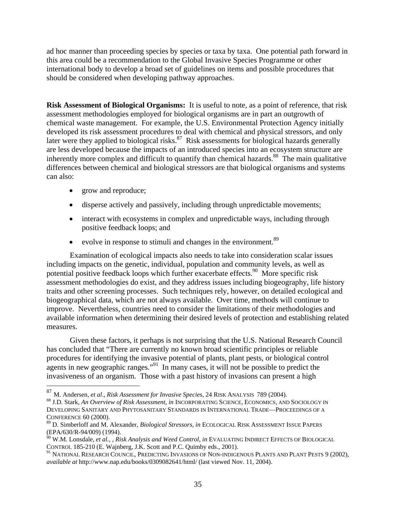ad hoc manner than proceeding species by species or taxa by taxa. One potential path forward in this area could be a recommendation to the Global Invasive Species Programme or other international body to develop a broad set of guidelines on items and possible procedures that should be considered when developing pathway approaches.

**Risk Assessment of Biological Organisms:** It is useful to note, as a point of reference, that risk assessment methodologies employed for biological organisms are in part an outgrowth of chemical waste management. For example, the U.S. Environmental Protection Agency initially developed its risk assessment procedures to deal with chemical and physical stressors, and only later were they applied to biological risks.<sup>87</sup> Risk assessments for biological hazards generally are less developed because the impacts of an introduced species into an ecosystem structure are inherently more complex and difficult to quantify than chemical hazards.<sup>88</sup> The main qualitative differences between chemical and biological stressors are that biological organisms and systems can also:

• grow and reproduce;

 $\overline{a}$ 

- disperse actively and passively, including through unpredictable movements;
- interact with ecosystems in complex and unpredictable ways, including through positive feedback loops; and
- evolve in response to stimuli and changes in the environment.<sup>89</sup>

Examination of ecological impacts also needs to take into consideration scalar issues including impacts on the genetic, individual, population and community levels, as well as potential positive feedback loops which further exacerbate effects.<sup>90</sup> More specific risk assessment methodologies do exist, and they address issues including biogeography, life history traits and other screening processes. Such techniques rely, however, on detailed ecological and biogeographical data, which are not always available. Over time, methods will continue to improve. Nevertheless, countries need to consider the limitations of their methodologies and available information when determining their desired levels of protection and establishing related measures.

Given these factors, it perhaps is not surprising that the U.S. National Research Council has concluded that "There are currently no known broad scientific principles or reliable procedures for identifying the invasive potential of plants, plant pests, or biological control agents in new geographic ranges."<sup>91</sup> In many cases, it will not be possible to predict the invasiveness of an organism. Those with a past history of invasions can present a high

<sup>&</sup>lt;sup>87</sup> M. Andersen, *et al., Risk Assessment for Invasive Species*, 24 RISK ANALYSIS *789 (2004).*<br><sup>88</sup> J.D. Stark, *An Overview of Risk Assessment, in* INCORPORATING SCIENCE, ECONOMICS, AND SOCIOLOGY IN DEVELOPING SANITARY AND PHYTOSANITARY STANDARDS IN INTERNATIONAL TRADE—PROCEEDINGS OF A CONFERENCE 60 (2000).

<sup>89</sup> D. Simberloff and M. Alexander, *Biological Stressors*, *in* ECOLOGICAL RISK ASSESSMENT ISSUE PAPERS (EPA/630/R-94/009) (1994).

<sup>90</sup> W.M. Lonsdale, *et al.,* , *Risk Analysis and Weed Control*, *in* EVALUATING INDIRECT EFFECTS OF BIOLOGICAL CONTROL 185-210 (E. Wajnberg, J.K. Scott and P.C. Quimby eds., 2001).

<sup>&</sup>lt;sup>91</sup> NATIONAL RESEARCH COUNCIL, PREDICTING INVASIONS OF NON-INDIGENOUS PLANTS AND PLANT PESTS 9 (2002), *available at* http://www.nap.edu/books/0309082641/html/ (last viewed Nov. 11, 2004).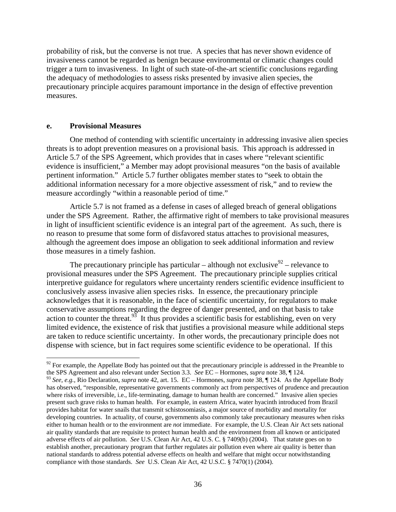probability of risk, but the converse is not true. A species that has never shown evidence of invasiveness cannot be regarded as benign because environmental or climatic changes could trigger a turn to invasiveness. In light of such state-of-the-art scientific conclusions regarding the adequacy of methodologies to assess risks presented by invasive alien species, the precautionary principle acquires paramount importance in the design of effective prevention measures.

#### **e. Provisional Measures**

 $\overline{a}$ 

One method of contending with scientific uncertainty in addressing invasive alien species threats is to adopt prevention measures on a provisional basis. This approach is addressed in Article 5.7 of the SPS Agreement, which provides that in cases where "relevant scientific evidence is insufficient," a Member may adopt provisional measures "on the basis of available pertinent information." Article 5.7 further obligates member states to "seek to obtain the additional information necessary for a more objective assessment of risk," and to review the measure accordingly "within a reasonable period of time."

Article 5.7 is not framed as a defense in cases of alleged breach of general obligations under the SPS Agreement. Rather, the affirmative right of members to take provisional measures in light of insufficient scientific evidence is an integral part of the agreement. As such, there is no reason to presume that some form of disfavored status attaches to provisional measures, although the agreement does impose an obligation to seek additional information and review those measures in a timely fashion.

The precautionary principle has particular – although not exclusive  $92$  – relevance to provisional measures under the SPS Agreement. The precautionary principle supplies critical interpretive guidance for regulators where uncertainty renders scientific evidence insufficient to conclusively assess invasive alien species risks. In essence, the precautionary principle acknowledges that it is reasonable, in the face of scientific uncertainty, for regulators to make conservative assumptions regarding the degree of danger presented, and on that basis to take action to counter the threat.<sup>93</sup> It thus provides a scientific basis for establishing, even on very limited evidence, the existence of risk that justifies a provisional measure while additional steps are taken to reduce scientific uncertainty. In other words, the precautionary principle does not dispense with science, but in fact requires some scientific evidence to be operational. If this

 $92$  For example, the Appellate Body has pointed out that the precautionary principle is addressed in the Preamble to the SPS Agreement and also relevant under Section 3.3. *See* EC – Hormones, *supra* note 38, ¶ 124.

<sup>93</sup> *See, e.g.,* Rio Declaration, *supra* note 42, art. 15. EC – Hormones, *supra* note 38, ¶ 124. As the Appellate Body has observed, "responsible, representative governments commonly act from perspectives of prudence and precaution where risks of irreversible, i.e., life-terminating, damage to human health are concerned." Invasive alien species present such grave risks to human health. For example, in eastern Africa, water hyacinth introduced from Brazil provides habitat for water snails that transmit schistosomiasis, a major source of morbidity and mortality for developing countries. In actuality, of course, governments also commonly take precautionary measures when risks either to human health or to the environment are *not* immediate. For example, the U.S. Clean Air Act sets national air quality standards that are requisite to protect human health and the environment from all known or anticipated adverse effects of air pollution. *See* U.S. Clean Air Act, 42 U.S. C. § 7409(b) (2004). That statute goes on to establish another, precautionary program that further regulates air pollution even where air quality is better than national standards to address potential adverse effects on health and welfare that might occur notwithstanding compliance with those standards. *See* U.S. Clean Air Act, 42 U.S.C. § 7470(1) (2004).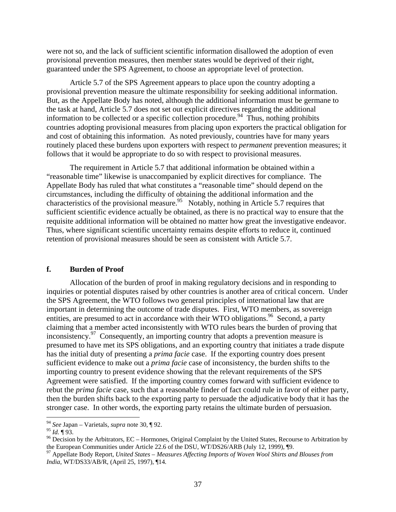were not so, and the lack of sufficient scientific information disallowed the adoption of even provisional prevention measures, then member states would be deprived of their right, guaranteed under the SPS Agreement, to choose an appropriate level of protection.

 Article 5.7 of the SPS Agreement appears to place upon the country adopting a provisional prevention measure the ultimate responsibility for seeking additional information. But, as the Appellate Body has noted, although the additional information must be germane to the task at hand, Article 5.7 does not set out explicit directives regarding the additional information to be collected or a specific collection procedure.<sup>94</sup> Thus, nothing prohibits countries adopting provisional measures from placing upon exporters the practical obligation for and cost of obtaining this information. As noted previously, countries have for many years routinely placed these burdens upon exporters with respect to *permanent* prevention measures; it follows that it would be appropriate to do so with respect to provisional measures.

 The requirement in Article 5.7 that additional information be obtained within a "reasonable time" likewise is unaccompanied by explicit directives for compliance. The Appellate Body has ruled that what constitutes a "reasonable time" should depend on the circumstances, including the difficulty of obtaining the additional information and the characteristics of the provisional measure.<sup>95</sup> Notably, nothing in Article 5.7 requires that sufficient scientific evidence actually be obtained, as there is no practical way to ensure that the requisite additional information will be obtained no matter how great the investigative endeavor. Thus, where significant scientific uncertainty remains despite efforts to reduce it, continued retention of provisional measures should be seen as consistent with Article 5.7.

#### **f. Burden of Proof**

Allocation of the burden of proof in making regulatory decisions and in responding to inquiries or potential disputes raised by other countries is another area of critical concern. Under the SPS Agreement, the WTO follows two general principles of international law that are important in determining the outcome of trade disputes. First, WTO members, as sovereign entities, are presumed to act in accordance with their WTO obligations.<sup>96</sup> Second, a party claiming that a member acted inconsistently with WTO rules bears the burden of proving that inconsistency.97 Consequently, an importing country that adopts a prevention measure is presumed to have met its SPS obligations, and an exporting country that initiates a trade dispute has the initial duty of presenting a *prima facie* case. If the exporting country does present sufficient evidence to make out a *prima facie* case of inconsistency, the burden shifts to the importing country to present evidence showing that the relevant requirements of the SPS Agreement were satisfied. If the importing country comes forward with sufficient evidence to rebut the *prima facie* case, such that a reasonable finder of fact could rule in favor of either party, then the burden shifts back to the exporting party to persuade the adjudicative body that it has the stronger case. In other words, the exporting party retains the ultimate burden of persuasion.

<sup>94</sup> *See* Japan – Varietals*, supra* note 30, ¶ 92.

<sup>&</sup>lt;sup>95</sup> *Id.*  $\P$  93.<br><sup>96</sup> Decision by the Arbitrators, EC – Hormones, Original Complaint by the United States, Recourse to Arbitration by the European Communities under Article 22.6 of the DSU, WT/DS26/ARB (July 12, 1999), ¶9.<br><sup>97</sup> Appellate Body Report, *United States – Measures Affecting Imports of Woven Wool Shirts and Blouses from* 

*India*, WT/DS33/AB/R, (April 25, 1997), ¶14*.*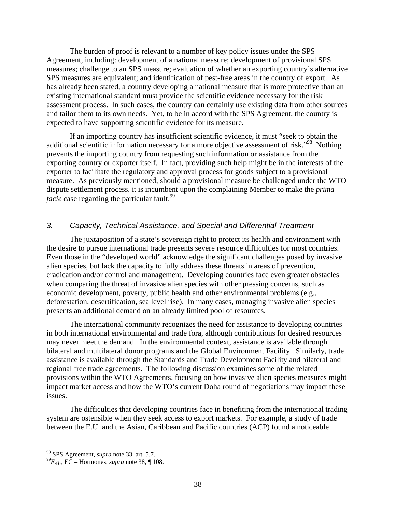The burden of proof is relevant to a number of key policy issues under the SPS Agreement, including: development of a national measure; development of provisional SPS measures; challenge to an SPS measure; evaluation of whether an exporting country's alternative SPS measures are equivalent; and identification of pest-free areas in the country of export. As has already been stated, a country developing a national measure that is more protective than an existing international standard must provide the scientific evidence necessary for the risk assessment process. In such cases, the country can certainly use existing data from other sources and tailor them to its own needs. Yet, to be in accord with the SPS Agreement, the country is expected to have supporting scientific evidence for its measure.

If an importing country has insufficient scientific evidence, it must "seek to obtain the additional scientific information necessary for a more objective assessment of risk."<sup>98</sup> Nothing prevents the importing country from requesting such information or assistance from the exporting country or exporter itself. In fact, providing such help might be in the interests of the exporter to facilitate the regulatory and approval process for goods subject to a provisional measure. As previously mentioned, should a provisional measure be challenged under the WTO dispute settlement process, it is incumbent upon the complaining Member to make the *prima facie* case regarding the particular fault.<sup>99</sup>

#### *3. Capacity, Technical Assistance, and Special and Differential Treatment*

The juxtaposition of a state's sovereign right to protect its health and environment with the desire to pursue international trade presents severe resource difficulties for most countries. Even those in the "developed world" acknowledge the significant challenges posed by invasive alien species, but lack the capacity to fully address these threats in areas of prevention, eradication and/or control and management. Developing countries face even greater obstacles when comparing the threat of invasive alien species with other pressing concerns, such as economic development, poverty, public health and other environmental problems (e.g., deforestation, desertification, sea level rise). In many cases, managing invasive alien species presents an additional demand on an already limited pool of resources.

The international community recognizes the need for assistance to developing countries in both international environmental and trade fora, although contributions for desired resources may never meet the demand. In the environmental context, assistance is available through bilateral and multilateral donor programs and the Global Environment Facility. Similarly, trade assistance is available through the Standards and Trade Development Facility and bilateral and regional free trade agreements. The following discussion examines some of the related provisions within the WTO Agreements, focusing on how invasive alien species measures might impact market access and how the WTO's current Doha round of negotiations may impact these issues.

The difficulties that developing countries face in benefiting from the international trading system are ostensible when they seek access to export markets. For example, a study of trade between the E.U. and the Asian, Caribbean and Pacific countries (ACP) found a noticeable

<sup>98</sup> SPS Agreement, *supra* note 33, art. 5.7. 99*E.g.,* EC – Hormones, *supra* note 38, ¶ 108.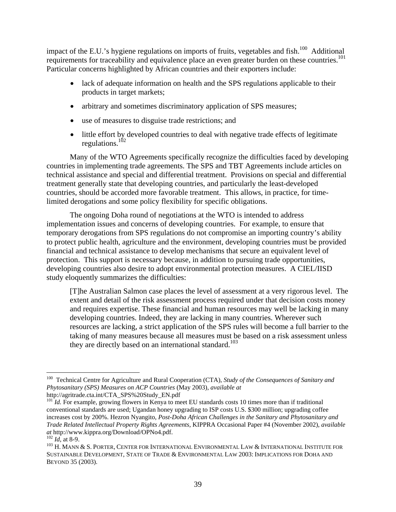impact of the E.U.'s hygiene regulations on imports of fruits, vegetables and fish.<sup>100</sup> Additional requirements for traceability and equivalence place an even greater burden on these countries.<sup>101</sup> Particular concerns highlighted by African countries and their exporters include:

- lack of adequate information on health and the SPS regulations applicable to their products in target markets;
- arbitrary and sometimes discriminatory application of SPS measures;
- use of measures to disguise trade restrictions; and
- little effort by developed countries to deal with negative trade effects of legitimate regulations. $102$

Many of the WTO Agreements specifically recognize the difficulties faced by developing countries in implementing trade agreements. The SPS and TBT Agreements include articles on technical assistance and special and differential treatment. Provisions on special and differential treatment generally state that developing countries, and particularly the least-developed countries, should be accorded more favorable treatment. This allows, in practice, for timelimited derogations and some policy flexibility for specific obligations.

The ongoing Doha round of negotiations at the WTO is intended to address implementation issues and concerns of developing countries. For example, to ensure that temporary derogations from SPS regulations do not compromise an importing country's ability to protect public health, agriculture and the environment, developing countries must be provided financial and technical assistance to develop mechanisms that secure an equivalent level of protection. This support is necessary because, in addition to pursuing trade opportunities, developing countries also desire to adopt environmental protection measures. A CIEL/IISD study eloquently summarizes the difficulties:

[T]he Australian Salmon case places the level of assessment at a very rigorous level. The extent and detail of the risk assessment process required under that decision costs money and requires expertise. These financial and human resources may well be lacking in many developing countries. Indeed, they are lacking in many countries. Wherever such resources are lacking, a strict application of the SPS rules will become a full barrier to the taking of many measures because all measures must be based on a risk assessment unless they are directly based on an international standard.<sup>103</sup>

 $\overline{a}$ 100 Technical Centre for Agriculture and Rural Cooperation (CTA), *Study of the Consequences of Sanitary and Phytosanitary (SPS) Measures on ACP Countries* (May 2003), *available at* 

http://agritrade.cta.int/CTA\_SPS%20Study\_EN.pdf

<sup>&</sup>lt;sup>101</sup> *Id.* For example, growing flowers in Kenya to meet EU standards costs 10 times more than if traditional conventional standards are used; Ugandan honey upgrading to ISP costs U.S. \$300 million; upgrading coffee increases cost by 200%. Hezron Nyangito, *Post-Doha African Challenges in the Sanitary and Phytosanitary and Trade Related Intellectual Property Rights Agreements*, KIPPRA Occasional Paper #4 (November 2002), *available* 

*at* http://www.kippra.org/Download/OPNo4.pdf.<br><sup>102</sup> *Id*, at 8-9. 2008. 2008 AMPER, CENTER FOR INTERNATIONAL ENVIRONMENTAL LAW & INTERNATIONAL INSTITUTE FOR SUSTAINABLE DEVELOPMENT, STATE OF TRADE & ENVIRONMENTAL LAW 2003: IMPLICATIONS FOR DOHA AND BEYOND 35 (2003).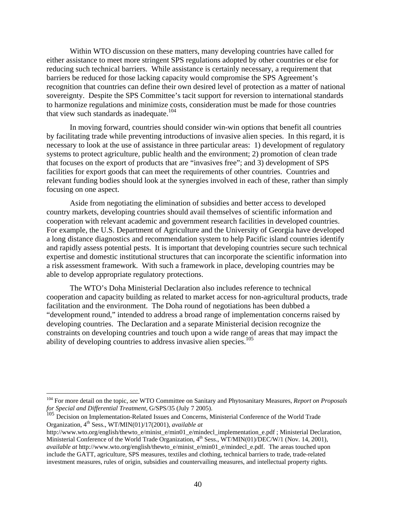Within WTO discussion on these matters, many developing countries have called for either assistance to meet more stringent SPS regulations adopted by other countries or else for reducing such technical barriers. While assistance is certainly necessary, a requirement that barriers be reduced for those lacking capacity would compromise the SPS Agreement's recognition that countries can define their own desired level of protection as a matter of national sovereignty. Despite the SPS Committee's tacit support for reversion to international standards to harmonize regulations and minimize costs, consideration must be made for those countries that view such standards as inadequate.<sup>104</sup>

In moving forward, countries should consider win-win options that benefit all countries by facilitating trade while preventing introductions of invasive alien species. In this regard, it is necessary to look at the use of assistance in three particular areas: 1) development of regulatory systems to protect agriculture, public health and the environment; 2) promotion of clean trade that focuses on the export of products that are "invasives free"; and 3) development of SPS facilities for export goods that can meet the requirements of other countries. Countries and relevant funding bodies should look at the synergies involved in each of these, rather than simply focusing on one aspect.

Aside from negotiating the elimination of subsidies and better access to developed country markets, developing countries should avail themselves of scientific information and cooperation with relevant academic and government research facilities in developed countries. For example, the U.S. Department of Agriculture and the University of Georgia have developed a long distance diagnostics and recommendation system to help Pacific island countries identify and rapidly assess potential pests. It is important that developing countries secure such technical expertise and domestic institutional structures that can incorporate the scientific information into a risk assessment framework. With such a framework in place, developing countries may be able to develop appropriate regulatory protections.

The WTO's Doha Ministerial Declaration also includes reference to technical cooperation and capacity building as related to market access for non-agricultural products, trade facilitation and the environment. The Doha round of negotiations has been dubbed a "development round," intended to address a broad range of implementation concerns raised by developing countries. The Declaration and a separate Ministerial decision recognize the constraints on developing countries and touch upon a wide range of areas that may impact the ability of developing countries to address invasive alien species.<sup>105</sup>

<sup>104</sup> For more detail on the topic, *see* WTO Committee on Sanitary and Phytosanitary Measures, *Report on Proposals for Special and Differential Treatment*, G/SPS/35 (July 7 2005).

<sup>&</sup>lt;sup>105</sup> Decision on Implementation-Related Issues and Concerns, Ministerial Conference of the World Trade Organization, 4th Sess., WT/MIN(01)/17(2001), *available at* 

http://www.wto.org/english/thewto\_e/minist\_e/min01\_e/mindecl\_implementation\_e.pdf ; Ministerial Declaration, Ministerial Conference of the World Trade Organization, 4<sup>th</sup> Sess., WT/MIN(01)/DEC/W/1 (Nov. 14, 2001), *available at* http://www.wto.org/english/thewto\_e/minist\_e/min01\_e/mindecl\_e.pdf. The areas touched upon include the GATT, agriculture, SPS measures, textiles and clothing, technical barriers to trade, trade-related investment measures, rules of origin, subsidies and countervailing measures, and intellectual property rights.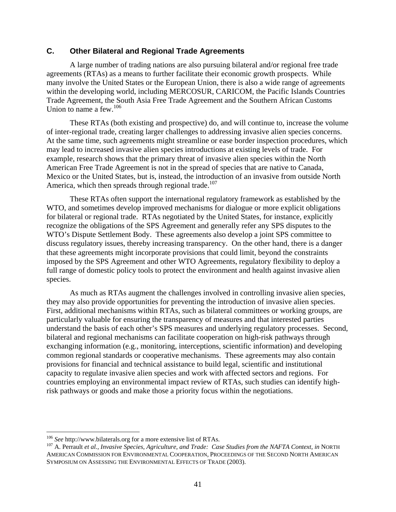## **C. Other Bilateral and Regional Trade Agreements**

A large number of trading nations are also pursuing bilateral and/or regional free trade agreements (RTAs) as a means to further facilitate their economic growth prospects. While many involve the United States or the European Union, there is also a wide range of agreements within the developing world, including MERCOSUR, CARICOM, the Pacific Islands Countries Trade Agreement, the South Asia Free Trade Agreement and the Southern African Customs Union to name a few.<sup>106</sup>

These RTAs (both existing and prospective) do, and will continue to, increase the volume of inter-regional trade, creating larger challenges to addressing invasive alien species concerns. At the same time, such agreements might streamline or ease border inspection procedures, which may lead to increased invasive alien species introductions at existing levels of trade. For example, research shows that the primary threat of invasive alien species within the North American Free Trade Agreement is not in the spread of species that are native to Canada, Mexico or the United States, but is, instead, the introduction of an invasive from outside North America, which then spreads through regional trade.<sup>107</sup>

These RTAs often support the international regulatory framework as established by the WTO, and sometimes develop improved mechanisms for dialogue or more explicit obligations for bilateral or regional trade. RTAs negotiated by the United States, for instance, explicitly recognize the obligations of the SPS Agreement and generally refer any SPS disputes to the WTO's Dispute Settlement Body. These agreements also develop a joint SPS committee to discuss regulatory issues, thereby increasing transparency. On the other hand, there is a danger that these agreements might incorporate provisions that could limit, beyond the constraints imposed by the SPS Agreement and other WTO Agreements, regulatory flexibility to deploy a full range of domestic policy tools to protect the environment and health against invasive alien species.

As much as RTAs augment the challenges involved in controlling invasive alien species, they may also provide opportunities for preventing the introduction of invasive alien species. First, additional mechanisms within RTAs, such as bilateral committees or working groups, are particularly valuable for ensuring the transparency of measures and that interested parties understand the basis of each other's SPS measures and underlying regulatory processes. Second, bilateral and regional mechanisms can facilitate cooperation on high-risk pathways through exchanging information (e.g., monitoring, interceptions, scientific information) and developing common regional standards or cooperative mechanisms. These agreements may also contain provisions for financial and technical assistance to build legal, scientific and institutional capacity to regulate invasive alien species and work with affected sectors and regions. For countries employing an environmental impact review of RTAs, such studies can identify highrisk pathways or goods and make those a priority focus within the negotiations.

 $106$  See http://www.bilaterals.org for a more extensive list of RTAs.

<sup>&</sup>lt;sup>107</sup> A. Perrault *et al., Invasive Species, Agriculture, and Trade: Case Studies from the NAFTA Context, in NORTH* AMERICAN COMMISSION FOR ENVIRONMENTAL COOPERATION, PROCEEDINGS OF THE SECOND NORTH AMERICAN SYMPOSIUM ON ASSESSING THE ENVIRONMENTAL EFFECTS OF TRADE (2003).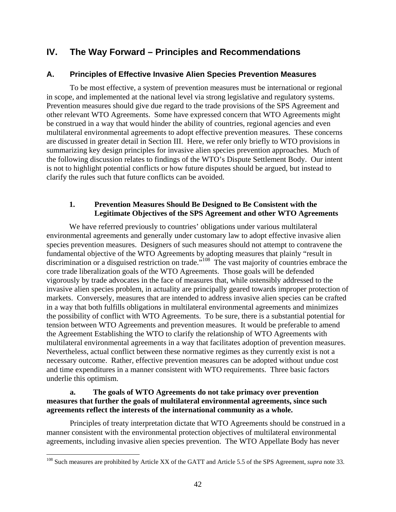## **IV. The Way Forward – Principles and Recommendations**

## **A. Principles of Effective Invasive Alien Species Prevention Measures**

To be most effective, a system of prevention measures must be international or regional in scope, and implemented at the national level via strong legislative and regulatory systems. Prevention measures should give due regard to the trade provisions of the SPS Agreement and other relevant WTO Agreements. Some have expressed concern that WTO Agreements might be construed in a way that would hinder the ability of countries, regional agencies and even multilateral environmental agreements to adopt effective prevention measures. These concerns are discussed in greater detail in Section III. Here, we refer only briefly to WTO provisions in summarizing key design principles for invasive alien species prevention approaches. Much of the following discussion relates to findings of the WTO's Dispute Settlement Body. Our intent is not to highlight potential conflicts or how future disputes should be argued, but instead to clarify the rules such that future conflicts can be avoided.

## **1. Prevention Measures Should Be Designed to Be Consistent with the Legitimate Objectives of the SPS Agreement and other WTO Agreements**

We have referred previously to countries' obligations under various multilateral environmental agreements and generally under customary law to adopt effective invasive alien species prevention measures. Designers of such measures should not attempt to contravene the fundamental objective of the WTO Agreements by adopting measures that plainly "result in discrimination or a disguised restriction on trade."<sup>108</sup> The vast majority of countries embrace the core trade liberalization goals of the WTO Agreements. Those goals will be defended vigorously by trade advocates in the face of measures that, while ostensibly addressed to the invasive alien species problem, in actuality are principally geared towards improper protection of markets. Conversely, measures that are intended to address invasive alien species can be crafted in a way that both fulfills obligations in multilateral environmental agreements and minimizes the possibility of conflict with WTO Agreements. To be sure, there is a substantial potential for tension between WTO Agreements and prevention measures. It would be preferable to amend the Agreement Establishing the WTO to clarify the relationship of WTO Agreements with multilateral environmental agreements in a way that facilitates adoption of prevention measures. Nevertheless, actual conflict between these normative regimes as they currently exist is not a necessary outcome. Rather, effective prevention measures can be adopted without undue cost and time expenditures in a manner consistent with WTO requirements. Three basic factors underlie this optimism.

### **a. The goals of WTO Agreements do not take primacy over prevention measures that further the goals of multilateral environmental agreements, since such agreements reflect the interests of the international community as a whole.**

Principles of treaty interpretation dictate that WTO Agreements should be construed in a manner consistent with the environmental protection objectives of multilateral environmental agreements, including invasive alien species prevention. The WTO Appellate Body has never

<sup>108</sup> Such measures are prohibited by Article XX of the GATT and Article 5.5 of the SPS Agreement, *supra* note 33.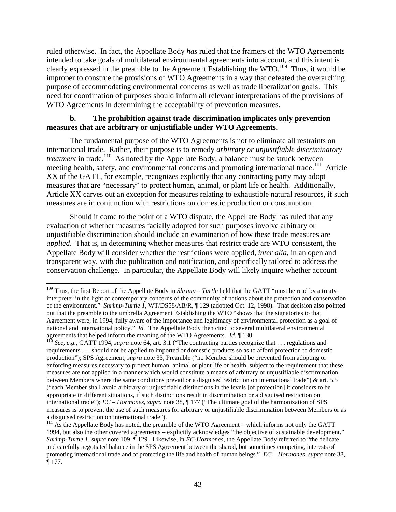ruled otherwise. In fact, the Appellate Body *has* ruled that the framers of the WTO Agreements intended to take goals of multilateral environmental agreements into account, and this intent is clearly expressed in the preamble to the Agreement Establishing the WTO.109 Thus, it would be improper to construe the provisions of WTO Agreements in a way that defeated the overarching purpose of accommodating environmental concerns as well as trade liberalization goals. This need for coordination of purposes should inform all relevant interpretations of the provisions of WTO Agreements in determining the acceptability of prevention measures.

## **b. The prohibition against trade discrimination implicates only prevention measures that are arbitrary or unjustifiable under WTO Agreements.**

The fundamental purpose of the WTO Agreements is not to eliminate all restraints on international trade. Rather, their purpose is to remedy *arbitrary or unjustifiable discriminatory treatment* in trade.<sup>110</sup> As noted by the Appellate Body, a balance must be struck between meeting health, safety, and environmental concerns and promoting international trade.<sup>111</sup> Article XX of the GATT, for example, recognizes explicitly that any contracting party may adopt measures that are "necessary" to protect human, animal, or plant life or health. Additionally, Article XX carves out an exception for measures relating to exhaustible natural resources, if such measures are in conjunction with restrictions on domestic production or consumption.

Should it come to the point of a WTO dispute, the Appellate Body has ruled that any evaluation of whether measures facially adopted for such purposes involve arbitrary or unjustifiable discrimination should include an examination of how these trade measures are *applied*. That is, in determining whether measures that restrict trade are WTO consistent, the Appellate Body will consider whether the restrictions were applied, *inter alia*, in an open and transparent way, with due publication and notification, and specifically tailored to address the conservation challenge. In particular, the Appellate Body will likely inquire whether account

<sup>1</sup> <sup>109</sup> Thus, the first Report of the Appellate Body in *Shrimp – Turtle* held that the GATT "must be read by a treaty interpreter in the light of contemporary concerns of the community of nations about the protection and conservation of the environment." *Shrimp-Turtle 1*, WT/DS58/AB/R, ¶ 129 (adopted Oct. 12, 1998). That decision also pointed out that the preamble to the umbrella Agreement Establishing the WTO "shows that the signatories to that Agreement were, in 1994, fully aware of the importance and legitimacy of environmental protection as a goal of national and international policy." *Id.* The Appellate Body then cited to several multilateral environmental

agreements that helped inform the meaning of the WTO Agreements. *Id.* 130.<br><sup>110</sup> *See, e.g.*, GATT 1994, *supra* note 64, art. 3.1 ("The contracting parties recognize that . . . regulations and requirements . . . should not be applied to imported or domestic products so as to afford protection to domestic production"); SPS Agreement, *supra* note 33, Preamble ("no Member should be prevented from adopting or enforcing measures necessary to protect human, animal or plant life or health, subject to the requirement that these measures are not applied in a manner which would constitute a means of arbitrary or unjustifiable discrimination between Members where the same conditions prevail or a disguised restriction on international trade") & art. 5.5 ("each Member shall avoid arbitrary or unjustifiable distinctions in the levels [of protection] it considers to be appropriate in different situations, if such distinctions result in discrimination or a disguised restriction on international trade"); *EC – Hormones*, *supra* note 38, ¶ 177 ("The ultimate goal of the harmonization of SPS measures is to prevent the use of such measures for arbitrary or unjustifiable discrimination between Members or as a disguised restriction on international trade").

 $111$  As the Appellate Body has noted, the preamble of the WTO Agreement – which informs not only the GATT 1994, but also the other covered agreements – explicitly acknowledges "the objective of sustainable development." *Shrimp-Turtle 1*, *supra* note 109, ¶ 129. Likewise, in *EC-Hormones*, the Appellate Body referred to "the delicate and carefully negotiated balance in the SPS Agreement between the shared, but sometimes competing, interests of promoting international trade and of protecting the life and health of human beings." *EC – Hormones*, *supra* note 38, ¶ 177.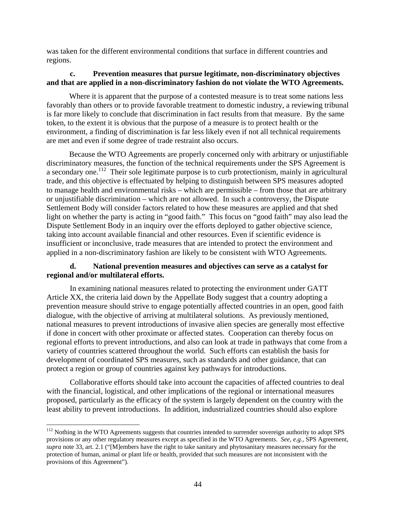was taken for the different environmental conditions that surface in different countries and regions.

## **c. Prevention measures that pursue legitimate, non-discriminatory objectives and that are applied in a non-discriminatory fashion do not violate the WTO Agreements.**

Where it is apparent that the purpose of a contested measure is to treat some nations less favorably than others or to provide favorable treatment to domestic industry, a reviewing tribunal is far more likely to conclude that discrimination in fact results from that measure. By the same token, to the extent it is obvious that the purpose of a measure is to protect health or the environment, a finding of discrimination is far less likely even if not all technical requirements are met and even if some degree of trade restraint also occurs.

Because the WTO Agreements are properly concerned only with arbitrary or unjustifiable discriminatory measures, the function of the technical requirements under the SPS Agreement is a secondary one.<sup>112</sup> Their sole legitimate purpose is to curb protectionism, mainly in agricultural trade, and this objective is effectuated by helping to distinguish between SPS measures adopted to manage health and environmental risks – which are permissible – from those that are arbitrary or unjustifiable discrimination – which are not allowed. In such a controversy, the Dispute Settlement Body will consider factors related to how these measures are applied and that shed light on whether the party is acting in "good faith." This focus on "good faith" may also lead the Dispute Settlement Body in an inquiry over the efforts deployed to gather objective science, taking into account available financial and other resources. Even if scientific evidence is insufficient or inconclusive, trade measures that are intended to protect the environment and applied in a non-discriminatory fashion are likely to be consistent with WTO Agreements.

#### **d. National prevention measures and objectives can serve as a catalyst for regional and/or multilateral efforts.**

In examining national measures related to protecting the environment under GATT Article XX, the criteria laid down by the Appellate Body suggest that a country adopting a prevention measure should strive to engage potentially affected countries in an open, good faith dialogue, with the objective of arriving at multilateral solutions. As previously mentioned, national measures to prevent introductions of invasive alien species are generally most effective if done in concert with other proximate or affected states. Cooperation can thereby focus on regional efforts to prevent introductions, and also can look at trade in pathways that come from a variety of countries scattered throughout the world. Such efforts can establish the basis for development of coordinated SPS measures, such as standards and other guidance, that can protect a region or group of countries against key pathways for introductions.

Collaborative efforts should take into account the capacities of affected countries to deal with the financial, logistical, and other implications of the regional or international measures proposed, particularly as the efficacy of the system is largely dependent on the country with the least ability to prevent introductions. In addition, industrialized countries should also explore

 $112$  Nothing in the WTO Agreements suggests that countries intended to surrender sovereign authority to adopt SPS provisions or any other regulatory measures except as specified in the WTO Agreements. *See, e.g.,* SPS Agreement, *supra* note 33, art. 2.1 ("[M]embers have the right to take sanitary and phytosanitary measures necessary for the protection of human, animal or plant life or health, provided that such measures are not inconsistent with the provisions of this Agreement").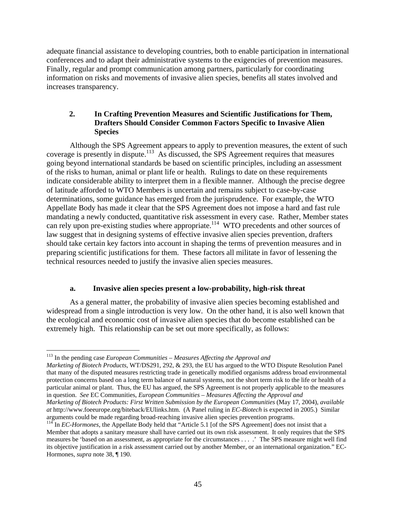adequate financial assistance to developing countries, both to enable participation in international conferences and to adapt their administrative systems to the exigencies of prevention measures. Finally, regular and prompt communication among partners, particularly for coordinating information on risks and movements of invasive alien species, benefits all states involved and increases transparency.

## **2. In Crafting Prevention Measures and Scientific Justifications for Them, Drafters Should Consider Common Factors Specific to Invasive Alien Species**

Although the SPS Agreement appears to apply to prevention measures, the extent of such coverage is presently in dispute.<sup>113</sup> As discussed, the SPS Agreement requires that measures going beyond international standards be based on scientific principles, including an assessment of the risks to human, animal or plant life or health. Rulings to date on these requirements indicate considerable ability to interpret them in a flexible manner. Although the precise degree of latitude afforded to WTO Members is uncertain and remains subject to case-by-case determinations, some guidance has emerged from the jurisprudence. For example, the WTO Appellate Body has made it clear that the SPS Agreement does not impose a hard and fast rule mandating a newly conducted, quantitative risk assessment in every case. Rather, Member states can rely upon pre-existing studies where appropriate.<sup>114</sup> WTO precedents and other sources of law suggest that in designing systems of effective invasive alien species prevention, drafters should take certain key factors into account in shaping the terms of prevention measures and in preparing scientific justifications for them. These factors all militate in favor of lessening the technical resources needed to justify the invasive alien species measures.

## **a. Invasive alien species present a low-probability, high-risk threat**

 As a general matter, the probability of invasive alien species becoming established and widespread from a single introduction is very low. On the other hand, it is also well known that the ecological and economic cost of invasive alien species that do become established can be extremely high. This relationship can be set out more specifically, as follows:

113 In the pending case *European Communities – Measures Affecting the Approval and* 

 $\overline{a}$ 

*Marketing of Biotech Products*, WT/DS291, 292, & 293, the EU has argued to the WTO Dispute Resolution Panel that many of the disputed measures restricting trade in genetically modified organisms address broad environmental protection concerns based on a long term balance of natural systems, not the short term risk to the life or health of a particular animal or plant. Thus, the EU has argued, the SPS Agreement is not properly applicable to the measures in question. *See* EC Communities, *European Communities – Measures Affecting the Approval and Marketing of Biotech Products: First Written Submission by the European Communities* (May 17, 2004), *available* 

*at* http://www.foeeurope.org/biteback/EUlinks.htm. (A Panel ruling in *EC-Biotech* is expected in 2005.) Similar arguments could be made regarding broad-reaching invasive alien species prevention programs.

<sup>&</sup>lt;sup>114</sup> In *EC-Hormones*, the Appellate Body held that "Article 5.1 [of the SPS Agreement] does not insist that a Member that adopts a sanitary measure shall have carried out its own risk assessment. It only requires that the SPS measures be 'based on an assessment, as appropriate for the circumstances . . . .' The SPS measure might well find its objective justification in a risk assessment carried out by another Member, or an international organization." EC-Hormones, *supra* note 38, ¶ 190.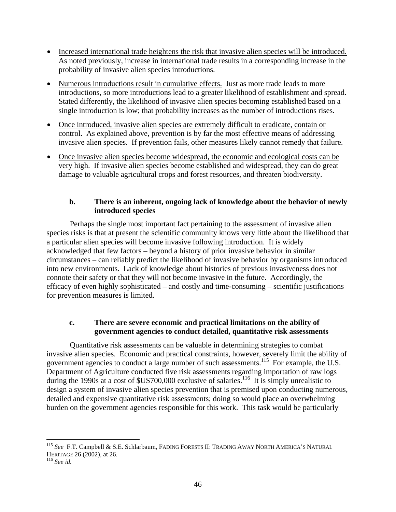- Increased international trade heightens the risk that invasive alien species will be introduced. As noted previously, increase in international trade results in a corresponding increase in the probability of invasive alien species introductions.
- Numerous introductions result in cumulative effects. Just as more trade leads to more introductions, so more introductions lead to a greater likelihood of establishment and spread. Stated differently, the likelihood of invasive alien species becoming established based on a single introduction is low; that probability increases as the number of introductions rises.
- Once introduced, invasive alien species are extremely difficult to eradicate, contain or control. As explained above, prevention is by far the most effective means of addressing invasive alien species. If prevention fails, other measures likely cannot remedy that failure.
- Once invasive alien species become widespread, the economic and ecological costs can be very high. If invasive alien species become established and widespread, they can do great damage to valuable agricultural crops and forest resources, and threaten biodiversity.

## **b. There is an inherent, ongoing lack of knowledge about the behavior of newly introduced species**

 Perhaps the single most important fact pertaining to the assessment of invasive alien species risks is that at present the scientific community knows very little about the likelihood that a particular alien species will become invasive following introduction. It is widely acknowledged that few factors – beyond a history of prior invasive behavior in similar circumstances – can reliably predict the likelihood of invasive behavior by organisms introduced into new environments. Lack of knowledge about histories of previous invasiveness does not connote their safety or that they will not become invasive in the future. Accordingly, the efficacy of even highly sophisticated – and costly and time-consuming – scientific justifications for prevention measures is limited.

## **c. There are severe economic and practical limitations on the ability of government agencies to conduct detailed, quantitative risk assessments**

Quantitative risk assessments can be valuable in determining strategies to combat invasive alien species. Economic and practical constraints, however, severely limit the ability of government agencies to conduct a large number of such assessments.<sup>115</sup> For example, the U.S. Department of Agriculture conducted five risk assessments regarding importation of raw logs during the 1990s at a cost of  $$US700,000$  exclusive of salaries.<sup>116</sup> It is simply unrealistic to design a system of invasive alien species prevention that is premised upon conducting numerous, detailed and expensive quantitative risk assessments; doing so would place an overwhelming burden on the government agencies responsible for this work. This task would be particularly

<sup>115</sup> *See* F.T. Campbell & S.E. Schlarbaum, FADING FORESTS II: TRADING AWAY NORTH AMERICA'S NATURAL HERITAGE 26 (2002), at 26. 116 *See id.*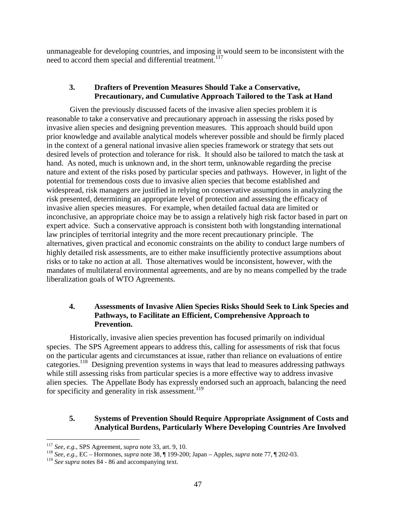unmanageable for developing countries, and imposing it would seem to be inconsistent with the need to accord them special and differential treatment.<sup>117</sup>

## **3. Drafters of Prevention Measures Should Take a Conservative, Precautionary, and Cumulative Approach Tailored to the Task at Hand**

 Given the previously discussed facets of the invasive alien species problem it is reasonable to take a conservative and precautionary approach in assessing the risks posed by invasive alien species and designing prevention measures. This approach should build upon prior knowledge and available analytical models wherever possible and should be firmly placed in the context of a general national invasive alien species framework or strategy that sets out desired levels of protection and tolerance for risk. It should also be tailored to match the task at hand. As noted, much is unknown and, in the short term, unknowable regarding the precise nature and extent of the risks posed by particular species and pathways. However, in light of the potential for tremendous costs due to invasive alien species that become established and widespread, risk managers are justified in relying on conservative assumptions in analyzing the risk presented, determining an appropriate level of protection and assessing the efficacy of invasive alien species measures. For example, when detailed factual data are limited or inconclusive, an appropriate choice may be to assign a relatively high risk factor based in part on expert advice. Such a conservative approach is consistent both with longstanding international law principles of territorial integrity and the more recent precautionary principle. The alternatives, given practical and economic constraints on the ability to conduct large numbers of highly detailed risk assessments, are to either make insufficiently protective assumptions about risks or to take no action at all. Those alternatives would be inconsistent, however, with the mandates of multilateral environmental agreements, and are by no means compelled by the trade liberalization goals of WTO Agreements.

## **4. Assessments of Invasive Alien Species Risks Should Seek to Link Species and Pathways, to Facilitate an Efficient, Comprehensive Approach to Prevention.**

 Historically, invasive alien species prevention has focused primarily on individual species. The SPS Agreement appears to address this, calling for assessments of risk that focus on the particular agents and circumstances at issue, rather than reliance on evaluations of entire categories.<sup>118</sup> Designing prevention systems in ways that lead to measures addressing pathways while still assessing risks from particular species is a more effective way to address invasive alien species. The Appellate Body has expressly endorsed such an approach, balancing the need for specificity and generality in risk assessment.<sup>119</sup>

## **5. Systems of Prevention Should Require Appropriate Assignment of Costs and Analytical Burdens, Particularly Where Developing Countries Are Involved**

1

<sup>117</sup> *See, e.g.,* SPS Agreement, *supra* note 33, art. 9, 10. 118 *See, e.g.,* EC – Hormones, *supra* note 38, ¶ 199-200; Japan – Apples, *supra* note 77, ¶ 202-03.

<sup>119</sup> *See supra* notes 84 - 86 and accompanying text.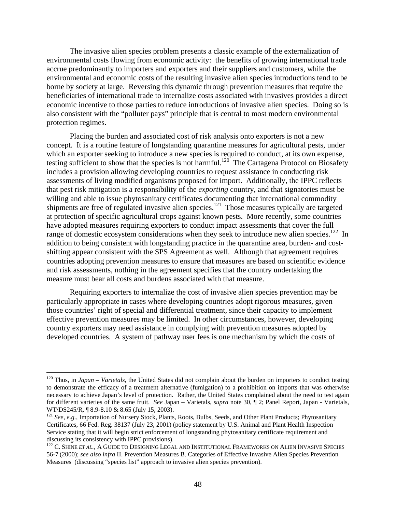The invasive alien species problem presents a classic example of the externalization of environmental costs flowing from economic activity: the benefits of growing international trade accrue predominantly to importers and exporters and their suppliers and customers, while the environmental and economic costs of the resulting invasive alien species introductions tend to be borne by society at large. Reversing this dynamic through prevention measures that require the beneficiaries of international trade to internalize costs associated with invasives provides a direct economic incentive to those parties to reduce introductions of invasive alien species. Doing so is also consistent with the "polluter pays" principle that is central to most modern environmental protection regimes.

Placing the burden and associated cost of risk analysis onto exporters is not a new concept. It is a routine feature of longstanding quarantine measures for agricultural pests, under which an exporter seeking to introduce a new species is required to conduct, at its own expense, testing sufficient to show that the species is not harmful.<sup>120</sup> The Cartagena Protocol on Biosafety includes a provision allowing developing countries to request assistance in conducting risk assessments of living modified organisms proposed for import. Additionally, the IPPC reflects that pest risk mitigation is a responsibility of the *exporting* country, and that signatories must be willing and able to issue phytosanitary certificates documenting that international commodity shipments are free of regulated invasive alien species.<sup>121</sup> Those measures typically are targeted at protection of specific agricultural crops against known pests. More recently, some countries have adopted measures requiring exporters to conduct impact assessments that cover the full range of domestic ecosystem considerations when they seek to introduce new alien species.<sup>122</sup> In addition to being consistent with longstanding practice in the quarantine area, burden- and costshifting appear consistent with the SPS Agreement as well. Although that agreement requires countries adopting prevention measures to ensure that measures are based on scientific evidence and risk assessments, nothing in the agreement specifies that the country undertaking the measure must bear all costs and burdens associated with that measure.

Requiring exporters to internalize the cost of invasive alien species prevention may be particularly appropriate in cases where developing countries adopt rigorous measures, given those countries' right of special and differential treatment, since their capacity to implement effective prevention measures may be limited. In other circumstances, however, developing country exporters may need assistance in complying with prevention measures adopted by developed countries. A system of pathway user fees is one mechanism by which the costs of

<sup>&</sup>lt;sup>120</sup> Thus, in *Japan – Varietals*, the United States did not complain about the burden on importers to conduct testing to demonstrate the efficacy of a treatment alternative (fumigation) to a prohibition on imports that was otherwise necessary to achieve Japan's level of protection. Rather, the United States complained about the need to test again for different varieties of the same fruit. *See* Japan – Varietals*, supra* note 30, ¶ 2; Panel Report, Japan - Varietals, WT/DS245/R, ¶ 8.9-8.10 & 8.65 (July 15, 2003).

<sup>121</sup> *See, e.g.,* Importation of Nursery Stock, Plants, Roots, Bulbs, Seeds, and Other Plant Products; Phytosanitary Certificates, 66 Fed. Reg. 38137 (July 23, 2001) (policy statement by U.S. Animal and Plant Health Inspection Service stating that it will begin strict enforcement of longstanding phytosanitary certificate requirement and discussing its consistency with IPPC provisions).

<sup>&</sup>lt;sup>122</sup> C. SHINE *ET AL.*, A GUIDE TO DESIGNING LEGAL AND INSTITUTIONAL FRAMEWORKS ON ALIEN INVASIVE SPECIES 56-7 (2000); *see also infra* II. Prevention Measures B. Categories of Effective Invasive Alien Species Prevention Measures (discussing "species list" approach to invasive alien species prevention).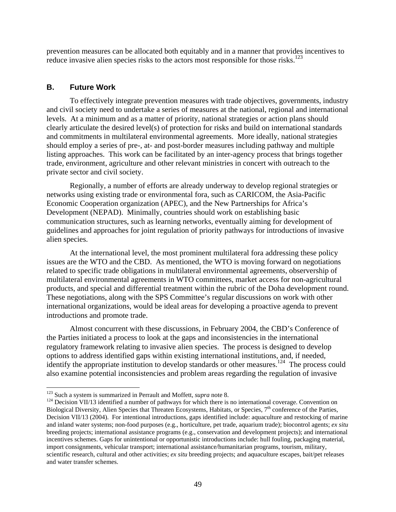prevention measures can be allocated both equitably and in a manner that provides incentives to reduce invasive alien species risks to the actors most responsible for those risks.<sup>123</sup>

#### **B. Future Work**

To effectively integrate prevention measures with trade objectives, governments, industry and civil society need to undertake a series of measures at the national, regional and international levels. At a minimum and as a matter of priority, national strategies or action plans should clearly articulate the desired level(s) of protection for risks and build on international standards and commitments in multilateral environmental agreements. More ideally, national strategies should employ a series of pre-, at- and post-border measures including pathway and multiple listing approaches. This work can be facilitated by an inter-agency process that brings together trade, environment, agriculture and other relevant ministries in concert with outreach to the private sector and civil society.

Regionally, a number of efforts are already underway to develop regional strategies or networks using existing trade or environmental fora, such as CARICOM, the Asia-Pacific Economic Cooperation organization (APEC), and the New Partnerships for Africa's Development (NEPAD). Minimally, countries should work on establishing basic communication structures, such as learning networks, eventually aiming for development of guidelines and approaches for joint regulation of priority pathways for introductions of invasive alien species.

At the international level, the most prominent multilateral fora addressing these policy issues are the WTO and the CBD. As mentioned, the WTO is moving forward on negotiations related to specific trade obligations in multilateral environmental agreements, observership of multilateral environmental agreements in WTO committees, market access for non-agricultural products, and special and differential treatment within the rubric of the Doha development round. These negotiations, along with the SPS Committee's regular discussions on work with other international organizations, would be ideal areas for developing a proactive agenda to prevent introductions and promote trade.

Almost concurrent with these discussions, in February 2004, the CBD's Conference of the Parties initiated a process to look at the gaps and inconsistencies in the international regulatory framework relating to invasive alien species. The process is designed to develop options to address identified gaps within existing international institutions, and, if needed, identify the appropriate institution to develop standards or other measures.<sup>124</sup> The process could also examine potential inconsistencies and problem areas regarding the regulation of invasive

<sup>&</sup>lt;sup>123</sup> Such a system is summarized in Perrault and Moffett, *supra* note 8.<br><sup>124</sup> Decision VII/13 identified a number of pathways for which there is no international coverage. Convention on Biological Diversity, Alien Species that Threaten Ecosystems, Habitats, or Species, 7<sup>th</sup> conference of the Parties, Decision VII/13 (2004). For intentional introductions, gaps identified include: aquaculture and restocking of marine and inland water systems; non-food purposes (e.g., horticulture, pet trade, aquarium trade); biocontrol agents; *ex situ*  breeding projects; international assistance programs (e.g., conservation and development projects); and international incentives schemes. Gaps for unintentional or opportunistic introductions include: hull fouling, packaging material, import consignments, vehicular transport; international assistance/humanitarian programs, tourism, military, scientific research, cultural and other activities; *ex situ* breeding projects; and aquaculture escapes, bait/pet releases and water transfer schemes.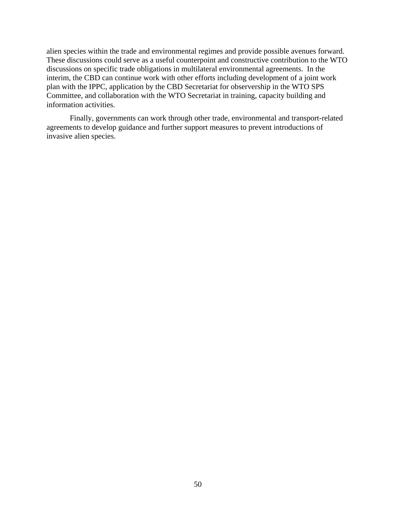alien species within the trade and environmental regimes and provide possible avenues forward. These discussions could serve as a useful counterpoint and constructive contribution to the WTO discussions on specific trade obligations in multilateral environmental agreements. In the interim, the CBD can continue work with other efforts including development of a joint work plan with the IPPC, application by the CBD Secretariat for observership in the WTO SPS Committee, and collaboration with the WTO Secretariat in training, capacity building and information activities.

 Finally, governments can work through other trade, environmental and transport-related agreements to develop guidance and further support measures to prevent introductions of invasive alien species.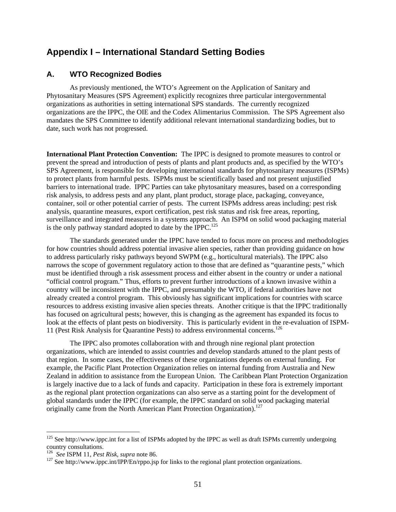## **Appendix I – International Standard Setting Bodies**

#### **A. WTO Recognized Bodies**

As previously mentioned, the WTO's Agreement on the Application of Sanitary and Phytosanitary Measures (SPS Agreement) explicitly recognizes three particular intergovernmental organizations as authorities in setting international SPS standards. The currently recognized organizations are the IPPC, the OIE and the Codex Alimentarius Commission. The SPS Agreement also mandates the SPS Committee to identify additional relevant international standardizing bodies, but to date, such work has not progressed.

**International Plant Protection Convention:** The IPPC is designed to promote measures to control or prevent the spread and introduction of pests of plants and plant products and, as specified by the WTO's SPS Agreement, is responsible for developing international standards for phytosanitary measures (ISPMs) to protect plants from harmful pests. ISPMs must be scientifically based and not present unjustified barriers to international trade. IPPC Parties can take phytosanitary measures, based on a corresponding risk analysis, to address pests and any plant, plant product, storage place, packaging, conveyance, container, soil or other potential carrier of pests. The current ISPMs address areas including: pest risk analysis, quarantine measures, export certification, pest risk status and risk free areas, reporting, surveillance and integrated measures in a systems approach. An ISPM on solid wood packaging material is the only pathway standard adopted to date by the IPPC.<sup>125</sup>

The standards generated under the IPPC have tended to focus more on process and methodologies for how countries should address potential invasive alien species, rather than providing guidance on how to address particularly risky pathways beyond SWPM (e.g., horticultural materials). The IPPC also narrows the scope of government regulatory action to those that are defined as "quarantine pests," which must be identified through a risk assessment process and either absent in the country or under a national "official control program." Thus, efforts to prevent further introductions of a known invasive within a country will be inconsistent with the IPPC, and presumably the WTO, if federal authorities have not already created a control program. This obviously has significant implications for countries with scarce resources to address existing invasive alien species threats. Another critique is that the IPPC traditionally has focused on agricultural pests; however, this is changing as the agreement has expanded its focus to look at the effects of plant pests on biodiversity. This is particularly evident in the re-evaluation of ISPM-11 (Pest Risk Analysis for Quarantine Pests) to address environmental concerns.126

The IPPC also promotes collaboration with and through nine regional plant protection organizations, which are intended to assist countries and develop standards attuned to the plant pests of that region. In some cases, the effectiveness of these organizations depends on external funding. For example, the Pacific Plant Protection Organization relies on internal funding from Australia and New Zealand in addition to assistance from the European Union. The Caribbean Plant Protection Organization is largely inactive due to a lack of funds and capacity. Participation in these fora is extremely important as the regional plant protection organizations can also serve as a starting point for the development of global standards under the IPPC (for example, the IPPC standard on solid wood packaging material originally came from the North American Plant Protection Organization).<sup>127</sup>

 $125$  See http://www.ippc.int for a list of ISPMs adopted by the IPPC as well as draft ISPMs currently undergoing country consultations.

<sup>&</sup>lt;sup>126</sup> See ISPM 11, *Pest Risk, supra* note 86.<br><sup>127</sup> See http://www.ippc.int/IPP/En/rppo.jsp for links to the regional plant protection organizations.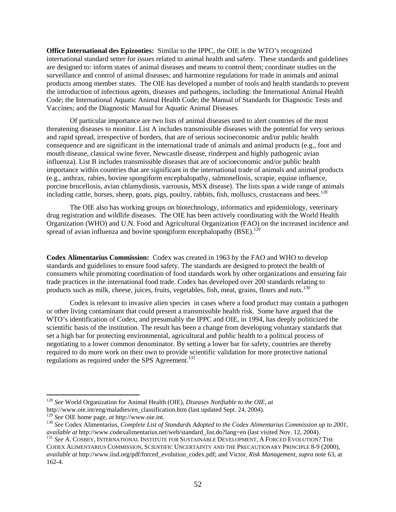**Office International des Epizooties:** Similar to the IPPC, the OIE is the WTO's recognized international standard setter for issues related to animal health and safety. These standards and guidelines are designed to: inform states of animal diseases and means to control them; coordinate studies on the surveillance and control of animal diseases; and harmonize regulations for trade in animals and animal products among member states. The OIE has developed a number of tools and health standards to prevent the introduction of infectious agents, diseases and pathogens, including: the International Animal Health Code; the International Aquatic Animal Health Code; the Manual of Standards for Diagnostic Tests and Vaccines; and the Diagnostic Manual for Aquatic Animal Diseases.

Of particular importance are two lists of animal diseases used to alert countries of the most threatening diseases to monitor. List A includes transmissible diseases with the potential for very serious and rapid spread, irrespective of borders, that are of serious socioeconomic and/or public health consequence and are significant in the international trade of animals and animal products (e.g., foot and mouth disease, classical swine fever, Newcastle disease, rinderpest and highly pathogenic avian influenza). List B includes transmissible diseases that are of socioeconomic and/or public health importance within countries that are significant in the international trade of animals and animal products (e.g., anthrax, rabies, bovine spongiform encephalopathy, salmonellosis, scrapie, equine influence, porcine brucellosis, avian chlamydiosis, varrousis, MSX disease). The lists span a wide range of animals including cattle, horses, sheep, goats, pigs, poultry, rabbits, fish, molluscs, crustaceans and bees.<sup>128</sup>

The OIE also has working groups on biotechnology, informatics and epidemiology, veterinary drug registration and wildlife diseases. The OIE has been actively coordinating with the World Health Organization (WHO) and U.N. Food and Agricultural Organization (FAO) on the increased incidence and spread of avian influenza and bovine spongiform encephalopathy  $(BSE)$ .<sup>129</sup>

**Codex Alimentarius Commission:** Codex was created in 1963 by the FAO and WHO to develop standards and guidelines to ensure food safety. The standards are designed to protect the health of consumers while promoting coordination of food standards work by other organizations and ensuring fair trade practices in the international food trade. Codex has developed over 200 standards relating to products such as milk, cheese, juices, fruits, vegetables, fish, meat, grains, flours and nuts.<sup>130</sup>

Codex is relevant to invasive alien species in cases where a food product may contain a pathogen or other living contaminant that could present a transmissible health risk. Some have argued that the WTO's identification of Codex, and presumably the IPPC and OIE, in 1994, has deeply politicized the scientific basis of the institution. The result has been a change from developing voluntary standards that set a high bar for protecting environmental, agricultural and public health to a political process of negotiating to a lower common denominator. By setting a lower bar for safety, countries are thereby required to do more work on their own to provide scientific validation for more protective national regulations as required under the SPS Agreement.<sup>131</sup>

<sup>128</sup> *See* World Organization for Animal Health (OIE), *Diseases Notifiable to the OIE, at*  http://www.oie.int/eng/maladies/en\_classification.htm (last updated Sept. 24, 2004).<br><sup>129</sup> See OIE home page, *at* http://www.oie.int.

<sup>&</sup>lt;sup>130</sup> See Codex Alimentarius, *Complete List of Standards Adopted to the Codex Alimentarius Commission up to 2001, available at* http://www.codexalimentarius.net/web/standard\_list.do?lang=en (last visited Nov. 12, 2004).<br><sup>131</sup> *See* A. COSBEY, INTERNATIONAL INSTITUTE FOR SUSTAINABLE DEVELOPMENT, A FORCED EVOLUTION? THE

CODEX ALIMENTARIUS COMMISSION, SCIENTIFIC UNCERTAINTY AND THE PRECAUTIONARY PRINCIPLE 8-9 (2000), *available at* http://www.iisd.org/pdf/forced\_evolution\_codex.pdf; and Victor, *Risk Management, supra* note 63, at 162-4.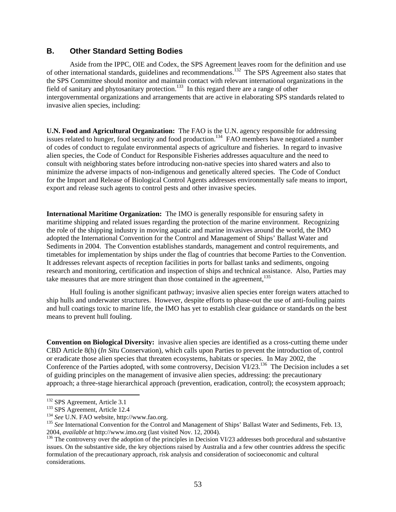## **B. Other Standard Setting Bodies**

Aside from the IPPC, OIE and Codex, the SPS Agreement leaves room for the definition and use of other international standards, guidelines and recommendations.132 The SPS Agreement also states that the SPS Committee should monitor and maintain contact with relevant international organizations in the field of sanitary and phytosanitary protection.<sup>133</sup> In this regard there are a range of other intergovernmental organizations and arrangements that are active in elaborating SPS standards related to invasive alien species, including:

**U.N. Food and Agricultural Organization:** The FAO is the U.N. agency responsible for addressing issues related to hunger, food security and food production.<sup>134</sup> FAO members have negotiated a number of codes of conduct to regulate environmental aspects of agriculture and fisheries. In regard to invasive alien species, the Code of Conduct for Responsible Fisheries addresses aquaculture and the need to consult with neighboring states before introducing non-native species into shared waters and also to minimize the adverse impacts of non-indigenous and genetically altered species. The Code of Conduct for the Import and Release of Biological Control Agents addresses environmentally safe means to import, export and release such agents to control pests and other invasive species.

**International Maritime Organization:** The IMO is generally responsible for ensuring safety in maritime shipping and related issues regarding the protection of the marine environment. Recognizing the role of the shipping industry in moving aquatic and marine invasives around the world, the IMO adopted the International Convention for the Control and Management of Ships' Ballast Water and Sediments in 2004. The Convention establishes standards, management and control requirements, and timetables for implementation by ships under the flag of countries that become Parties to the Convention. It addresses relevant aspects of reception facilities in ports for ballast tanks and sediments, ongoing research and monitoring, certification and inspection of ships and technical assistance. Also, Parties may take measures that are more stringent than those contained in the agreement,  $135$ 

Hull fouling is another significant pathway; invasive alien species enter foreign waters attached to ship hulls and underwater structures. However, despite efforts to phase-out the use of anti-fouling paints and hull coatings toxic to marine life, the IMO has yet to establish clear guidance or standards on the best means to prevent hull fouling.

**Convention on Biological Diversity:** invasive alien species are identified as a cross-cutting theme under CBD Article 8(h) (*In Situ* Conservation), which calls upon Parties to prevent the introduction of, control or eradicate those alien species that threaten ecosystems, habitats or species. In May 2002, the Conference of the Parties adopted, with some controversy, Decision  $\rm \dot{V}l/23$ <sup>136</sup>. The Decision includes a set of guiding principles on the management of invasive alien species, addressing: the precautionary approach; a three-stage hierarchical approach (prevention, eradication, control); the ecosystem approach;

<sup>&</sup>lt;sup>132</sup> SPS Agreement, Article 3.1

<sup>&</sup>lt;sup>133</sup> SPS Agreement, Article 12.4<br><sup>134</sup> See U.N. FAO website, http://www.fao.org.<br><sup>135</sup> See International Convention for the Control and Management of Ships' Ballast Water and Sediments, Feb. 13, 2004, *available at* http://www.imo.org (last visited Nov. 12, 2004).<br><sup>136</sup> The controversy over the adoption of the principles in Decision VI/23 addresses both procedural and substantive

issues. On the substantive side, the key objections raised by Australia and a few other countries address the specific formulation of the precautionary approach, risk analysis and consideration of socioeconomic and cultural considerations.